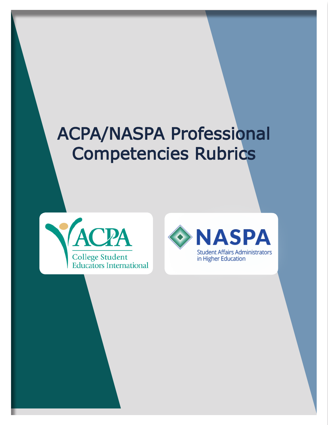# ACPA/NASPA Professional Competencies Rubrics



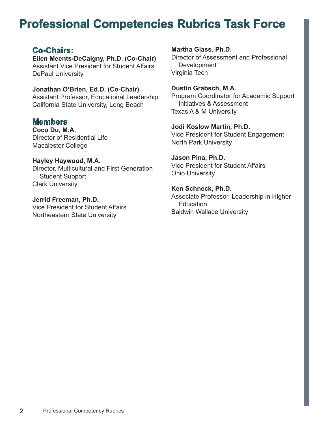## **Professional Competencies Rubrics Task Force**

#### **Co-Chairs:**

**Ellen Meents-DeCaigny, Ph.D. (Co-Chair)** Assistant Vice President for Student Affairs DePaul University

**Jonathan O'Brien, Ed.D. (Co-Chair)** Assistant Professor, Educational Leadership California State University, Long Beach

**Members**

**Coco Du, M.A.** Director of Residential Life Macalester College

**Hayley Haywood, M.A.**

Director, Multicultural and First Generation Student Support Clark University

**Jerrid Freeman, Ph.D.** Vice President for Student Affairs Northeastern State University

**Martha Glass, Ph.D.**

Director of Assessment and Professional **Development** Virginia Tech

#### **Dustin Grabsch, M.A.**

Program Coordinator for Academic Support Initiatives & Assessment Texas A & M University

#### **Jodi Koslow Martin, Ph.D.**

Vice President for Student Engagement North Park University

**Jason Pina, Ph.D.**

Vice President for Student Affairs Ohio University

**Ken Schneck, Ph.D.** Associate Professor, Leadership in Higher **Education** Baldwin Wallace University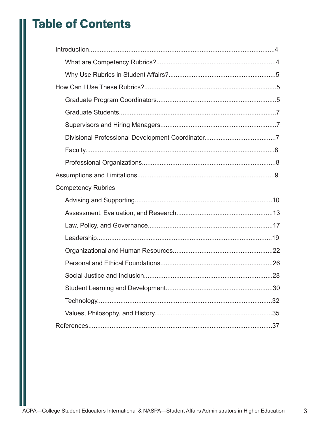## **Table of Contents**

| <b>Competency Rubrics</b> |  |
|---------------------------|--|
|                           |  |
|                           |  |
|                           |  |
|                           |  |
|                           |  |
|                           |  |
|                           |  |
|                           |  |
|                           |  |
|                           |  |
|                           |  |

 $\mathfrak{S}$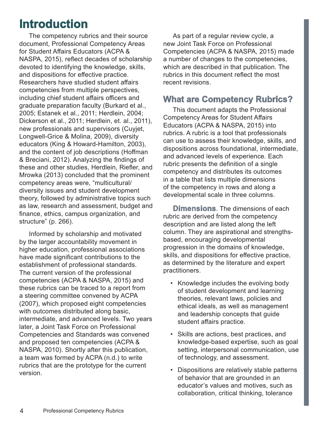## **Introduction**

The competency rubrics and their source document, Professional Competency Areas for Student Affairs Educators (ACPA & NASPA, 2015), reflect decades of scholarship devoted to identifying the knowledge, skills, and dispositions for effective practice. Researchers have studied student affairs competencies from multiple perspectives, including chief student affairs officers and graduate preparation faculty (Burkard et al., 2005; Estanek et al., 2011; Herdlein, 2004; Dickerson et al., 2011; Herdlein, et. al., 2011), new professionals and supervisors (Cuyjet, Longwell-Grice & Molina, 2009), diversity educators (King & Howard-Hamilton, 2003), and the content of job descriptions (Hoffman & Breciani, 2012). Analyzing the findings of these and other studies, Herdlein, Riefler, and Mrowka (2013) concluded that the prominent competency areas were, "multicultural/ diversity issues and student development theory, followed by administrative topics such as law, research and assessment, budget and finance, ethics, campus organization, and structure" (p. 266).

Informed by scholarship and motivated by the larger accountability movement in higher education, professional associations have made significant contributions to the establishment of professional standards. The current version of the professional competencies (ACPA & NASPA, 2015) and these rubrics can be traced to a report from a steering committee convened by ACPA (2007), which proposed eight competencies with outcomes distributed along basic, intermediate, and advanced levels. Two years later, a Joint Task Force on Professional Competencies and Standards was convened and proposed ten competencies (ACPA & NASPA, 2010). Shortly after this publication, a team was formed by ACPA (n.d.) to write rubrics that are the prototype for the current version.

As part of a regular review cycle, a new Joint Task Force on Professional Competencies (ACPA & NASPA, 2015) made a number of changes to the competencies, which are described in that publication. The rubrics in this document reflect the most recent revisions.

### **What are Competency Rubrics?**

This document adapts the Professional Competency Areas for Student Affairs Educators (ACPA & NASPA, 2015) into rubrics. A rubric is a tool that professionals can use to assess their knowledge, skills, and dispositions across foundational, intermediate, and advanced levels of experience. Each rubric presents the definition of a single competency and distributes its outcomes in a table that lists multiple dimensions of the competency in rows and along a developmental scale in three columns.

**Dimensions**. The dimensions of each rubric are derived from the competency description and are listed along the left column. They are aspirational and strengthsbased, encouraging developmental progression in the domains of knowledge, skills, and dispositions for effective practice, as determined by the literature and expert practitioners.

- Knowledge includes the evolving body of student development and learning theories, relevant laws, policies and ethical ideals, as well as management and leadership concepts that guide student affairs practice.
- Skills are actions, best practices, and knowledge-based expertise, such as goal setting, interpersonal communication, use of technology, and assessment.
- Dispositions are relatively stable patterns of behavior that are grounded in an educator's values and motives, such as collaboration, critical thinking, tolerance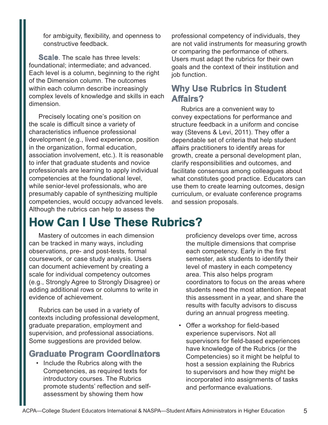for ambiguity, flexibility, and openness to constructive feedback.

**Scale**. The scale has three levels: foundational; intermediate; and advanced. Each level is a column, beginning to the right of the Dimension column. The outcomes within each column describe increasingly complex levels of knowledge and skills in each dimension.

Precisely locating one's position on the scale is difficult since a variety of characteristics influence professional development (e.g., lived experience, position in the organization, formal education, association involvement, etc.). It is reasonable to infer that graduate students and novice professionals are learning to apply individual competencies at the foundational level, while senior-level professionals, who are presumably capable of synthesizing multiple competencies, would occupy advanced levels. Although the rubrics can help to assess the

professional competency of individuals, they are not valid instruments for measuring growth or comparing the performance of others. Users must adapt the rubrics for their own goals and the context of their institution and job function.

### **Why Use Rubrics in Student Affairs?**

Rubrics are a convenient way to convey expectations for performance and structure feedback in a uniform and concise way (Stevens & Levi, 2011). They offer a dependable set of criteria that help student affairs practitioners to identify areas for growth, create a personal development plan, clarify responsibilities and outcomes, and facilitate consensus among colleagues about what constitutes good practice. Educators can use them to create learning outcomes, design curriculum, or evaluate conference programs and session proposals.

## **How Can I Use These Rubrics?**

Mastery of outcomes in each dimension can be tracked in many ways, including observations, pre- and post-tests, formal coursework, or case study analysis. Users can document achievement by creating a scale for individual competency outcomes (e.g., Strongly Agree to Strongly Disagree) or adding additional rows or columns to write in evidence of achievement.

Rubrics can be used in a variety of contexts including professional development, graduate preparation, employment and supervision, and professional associations. Some suggestions are provided below.

#### **Graduate Program Coordinators**

• Include the Rubrics along with the Competencies, as required texts for introductory courses. The Rubrics promote students' reflection and selfassessment by showing them how

proficiency develops over time, across the multiple dimensions that comprise each competency. Early in the first semester, ask students to identify their level of mastery in each competency area. This also helps program coordinators to focus on the areas where students need the most attention. Repeat this assessment in a year, and share the results with faculty advisors to discuss during an annual progress meeting.

• Offer a workshop for field-based experience supervisors. Not all supervisors for field-based experiences have knowledge of the Rubrics (or the Competencies) so it might be helpful to host a session explaining the Rubrics to supervisors and how they might be incorporated into assignments of tasks and performance evaluations.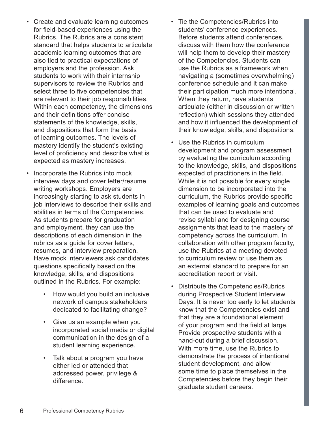- Create and evaluate learning outcomes for field-based experiences using the Rubrics. The Rubrics are a consistent standard that helps students to articulate academic learning outcomes that are also tied to practical expectations of employers and the profession. Ask students to work with their internship supervisors to review the Rubrics and select three to five competencies that are relevant to their job responsibilities. Within each competency, the dimensions and their definitions offer concise statements of the knowledge, skills, and dispositions that form the basis of learning outcomes. The levels of mastery identify the student's existing level of proficiency and describe what is expected as mastery increases.
- Incorporate the Rubrics into mock interview days and cover letter/resume writing workshops. Employers are increasingly starting to ask students in job interviews to describe their skills and abilities in terms of the Competencies. As students prepare for graduation and employment, they can use the descriptions of each dimension in the rubrics as a guide for cover letters, resumes, and interview preparation. Have mock interviewers ask candidates questions specifically based on the knowledge, skills, and dispositions outlined in the Rubrics. For example:
	- How would you build an inclusive network of campus stakeholders dedicated to facilitating change?
	- Give us an example when you incorporated social media or digital communication in the design of a student learning experience.
	- Talk about a program you have either led or attended that addressed power, privilege & difference.
- Tie the Competencies/Rubrics into students' conference experiences. Before students attend conferences, discuss with them how the conference will help them to develop their mastery of the Competencies. Students can use the Rubrics as a framework when navigating a (sometimes overwhelming) conference schedule and it can make their participation much more intentional. When they return, have students articulate (either in discussion or written reflection) which sessions they attended and how it influenced the development of their knowledge, skills, and dispositions.
- Use the Rubrics in curriculum development and program assessment by evaluating the curriculum according to the knowledge, skills, and dispositions expected of practitioners in the field. While it is not possible for every single dimension to be incorporated into the curriculum, the Rubrics provide specific examples of learning goals and outcomes that can be used to evaluate and revise syllabi and for designing course assignments that lead to the mastery of competency across the curriculum. In collaboration with other program faculty, use the Rubrics at a meeting devoted to curriculum review or use them as an external standard to prepare for an accreditation report or visit.
- Distribute the Competencies/Rubrics during Prospective Student Interview Days. It is never too early to let students know that the Competencies exist and that they are a foundational element of your program and the field at large. Provide prospective students with a hand-out during a brief discussion. With more time, use the Rubrics to demonstrate the process of intentional student development, and allow some time to place themselves in the Competencies before they begin their graduate student careers.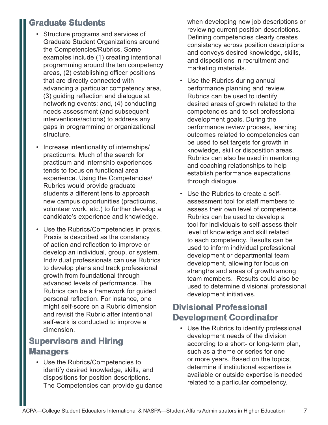### **Graduate Students**

- Structure programs and services of Graduate Student Organizations around the Competencies/Rubrics. Some examples include (1) creating intentional programming around the ten competency areas, (2) establishing officer positions that are directly connected with advancing a particular competency area, (3) guiding reflection and dialogue at networking events; and, (4) conducting needs assessment (and subsequent interventions/actions) to address any gaps in programming or organizational structure.
- Increase intentionality of internships/ practicums. Much of the search for practicum and internship experiences tends to focus on functional area experience. Using the Competencies/ Rubrics would provide graduate students a different lens to approach new campus opportunities (practicums, volunteer work, etc.) to further develop a candidate's experience and knowledge.
- Use the Rubrics/Competencies in praxis. Praxis is described as the constancy of action and reflection to improve or develop an individual, group, or system. Individual professionals can use Rubrics to develop plans and track professional growth from foundational through advanced levels of performance. The Rubrics can be a framework for guided personal reflection. For instance, one might self-score on a Rubric dimension and revisit the Rubric after intentional self-work is conducted to improve a dimension.

### **Supervisors and Hiring Managers**

• Use the Rubrics/Competencies to identify desired knowledge, skills, and dispositions for position descriptions. The Competencies can provide guidance when developing new job descriptions or reviewing current position descriptions. Defining competencies clearly creates consistency across position descriptions and conveys desired knowledge, skills, and dispositions in recruitment and marketing materials.

- Use the Rubrics during annual performance planning and review. Rubrics can be used to identify desired areas of growth related to the competencies and to set professional development goals. During the performance review process, learning outcomes related to competencies can be used to set targets for growth in knowledge, skill or disposition areas. Rubrics can also be used in mentoring and coaching relationships to help establish performance expectations through dialogue.
- Use the Rubrics to create a selfassessment tool for staff members to assess their own level of competence. Rubrics can be used to develop a tool for individuals to self-assess their level of knowledge and skill related to each competency. Results can be used to inform individual professional development or departmental team development, allowing for focus on strengths and areas of growth among team members. Results could also be used to determine divisional professional development initiatives.

### **Divisional Professional Development Coordinator**

• Use the Rubrics to identify professional development needs of the division according to a short- or long-term plan, such as a theme or series for one or more years. Based on the topics, determine if institutional expertise is available or outside expertise is needed related to a particular competency.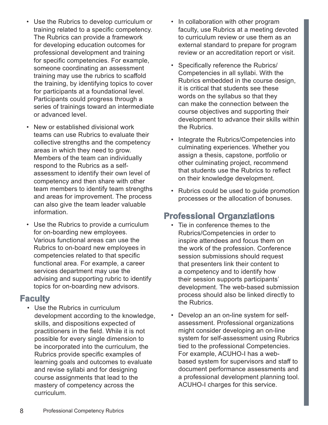- Use the Rubrics to develop curriculum or training related to a specific competency. The Rubrics can provide a framework for developing education outcomes for professional development and training for specific competencies. For example, someone coordinating an assessment training may use the rubrics to scaffold the training, by identifying topics to cover for participants at a foundational level. Participants could progress through a series of trainings toward an intermediate or advanced level.
- New or established divisional work teams can use Rubrics to evaluate their collective strengths and the competency areas in which they need to grow. Members of the team can individually respond to the Rubrics as a selfassessment to identify their own level of competency and then share with other team members to identify team strengths and areas for improvement. The process can also give the team leader valuable information.
- Use the Rubrics to provide a curriculum for on-boarding new employees. Various functional areas can use the Rubrics to on-board new employees in competencies related to that specific functional area. For example, a career services department may use the advising and supporting rubric to identify topics for on-boarding new advisors.

#### **Faculty**

• Use the Rubrics in curriculum development according to the knowledge, skills, and dispositions expected of practitioners in the field. While it is not possible for every single dimension to be incorporated into the curriculum, the Rubrics provide specific examples of learning goals and outcomes to evaluate and revise syllabi and for designing course assignments that lead to the mastery of competency across the curriculum.

- In collaboration with other program faculty, use Rubrics at a meeting devoted to curriculum review or use them as an external standard to prepare for program review or an accreditation report or visit.
- Specifically reference the Rubrics/ Competencies in all syllabi. With the Rubrics embedded in the course design, it is critical that students see these words on the syllabus so that they can make the connection between the course objectives and supporting their development to advance their skills within the Rubrics.
- Integrate the Rubrics/Competencies into culminating experiences. Whether you assign a thesis, capstone, portfolio or other culminating project, recommend that students use the Rubrics to reflect on their knowledge development.
- Rubrics could be used to guide promotion processes or the allocation of bonuses.

### **Professional Organziations**

- Tie in conference themes to the Rubrics/Competencies in order to inspire attendees and focus them on the work of the profession. Conference session submissions should request that presenters link their content to a competency and to identify how their session supports participants' development. The web-based submission process should also be linked directly to the Rubrics.
- Develop an an on-line system for selfassessment. Professional organizations might consider developing an on-line system for self-assessment using Rubrics tied to the professional Competencies. For example, ACUHO-I has a webbased system for supervisors and staff to document performance assessments and a professional development planning tool. ACUHO-I charges for this service.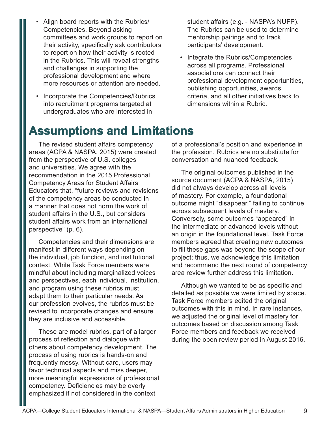- Align board reports with the Rubrics/ Competencies. Beyond asking committees and work groups to report on their activity, specifically ask contributors to report on how their activity is rooted in the Rubrics. This will reveal strengths and challenges in supporting the professional development and where more resources or attention are needed.
- Incorporate the Competencies/Rubrics into recruitment programs targeted at undergraduates who are interested in

student affairs (e.g. - NASPA's NUFP). The Rubrics can be used to determine mentorship pairings and to track participants' development.

• Integrate the Rubrics/Competencies across all programs. Professional associations can connect their professional development opportunities, publishing opportunities, awards criteria, and all other initiatives back to dimensions within a Rubric.

## **Assumptions and Limitations**

The revised student affairs competency areas (ACPA & NASPA, 2015) were created from the perspective of U.S. colleges and universities. We agree with the recommendation in the 2015 Professional Competency Areas for Student Affairs Educators that, "future reviews and revisions of the competency areas be conducted in a manner that does not norm the work of student affairs in the U.S., but considers student affairs work from an international perspective" (p. 6).

Competencies and their dimensions are manifest in different ways depending on the individual, job function, and institutional context. While Task Force members were mindful about including marginalized voices and perspectives, each individual, institution, and program using these rubrics must adapt them to their particular needs. As our profession evolves, the rubrics must be revised to incorporate changes and ensure they are inclusive and accessible.

These are model rubrics, part of a larger process of reflection and dialogue with others about competency development. The process of using rubrics is hands-on and frequently messy. Without care, users may favor technical aspects and miss deeper, more meaningful expressions of professional competency. Deficiencies may be overly emphasized if not considered in the context

of a professional's position and experience in the profession. Rubrics are no substitute for conversation and nuanced feedback.

The original outcomes published in the source document (ACPA & NASPA, 2015) did not always develop across all levels of mastery. For example, a foundational outcome might "disappear," failing to continue across subsequent levels of mastery. Conversely, some outcomes "appeared" in the intermediate or advanced levels without an origin in the foundational level. Task Force members agreed that creating new outcomes to fill these gaps was beyond the scope of our project; thus, we acknowledge this limitation and recommend the next round of competency area review further address this limitation.

Although we wanted to be as specific and detailed as possible we were limited by space. Task Force members edited the original outcomes with this in mind. In rare instances, we adjusted the original level of mastery for outcomes based on discussion among Task Force members and feedback we received during the open review period in August 2016.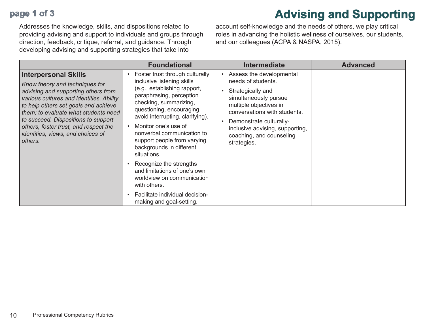## **page 1 of 3**

Addresses the knowledge, skills, and dispositions related to providing advising and support to individuals and groups through direction, feedback, critique, referral, and guidance. Through developing advising and supporting strategies that take into

account self-knowledge and the needs of others, we play critical roles in advancing the holistic wellness of ourselves, our students, and our colleagues (ACPA & NASPA, 2015).

**Advising and Supporting**

|                                                                                                                                                                                                                                                                                                                                                                  | <b>Foundational</b>                                                                                                                                                                                                                                                                                                                                                                                                                                                                                                          | <b>Intermediate</b>                                                                                                                                                                                                                                             | <b>Advanced</b> |
|------------------------------------------------------------------------------------------------------------------------------------------------------------------------------------------------------------------------------------------------------------------------------------------------------------------------------------------------------------------|------------------------------------------------------------------------------------------------------------------------------------------------------------------------------------------------------------------------------------------------------------------------------------------------------------------------------------------------------------------------------------------------------------------------------------------------------------------------------------------------------------------------------|-----------------------------------------------------------------------------------------------------------------------------------------------------------------------------------------------------------------------------------------------------------------|-----------------|
| <b>Interpersonal Skills</b><br>Know theory and techniques for<br>advising and supporting others from<br>various cultures and identities. Ability<br>to help others set goals and achieve<br>them; to evaluate what students need<br>to succeed. Dispositions to support<br>others, foster trust, and respect the<br>identities, views, and choices of<br>others. | Foster trust through culturally<br>inclusive listening skills<br>(e.g., establishing rapport,<br>paraphrasing, perception<br>checking, summarizing,<br>questioning, encouraging,<br>avoid interrupting, clarifying).<br>Monitor one's use of<br>nonverbal communication to<br>support people from varying<br>backgrounds in different<br>situations.<br>Recognize the strengths<br>and limitations of one's own<br>worldview on communication<br>with others.<br>Facilitate individual decision-<br>making and goal-setting. | Assess the developmental<br>needs of students.<br>Strategically and<br>simultaneously pursue<br>multiple objectives in<br>conversations with students.<br>Demonstrate culturally-<br>inclusive advising, supporting,<br>coaching, and counseling<br>strategies. |                 |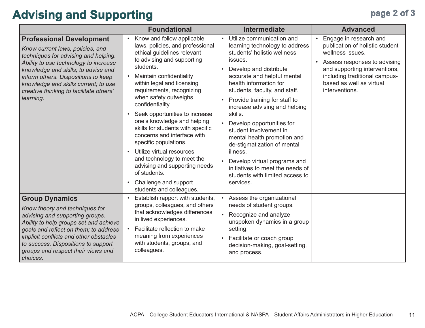## Advising and Supporting **page 2 of 3**

|                                                                                                                                                                                                                                                                                                                                    | <b>Foundational</b>                                                                                                                                                                                                                                                                                                                                                                                                                                                                                                                                                                                                                   | <b>Intermediate</b>                                                                                                                                                                                                                                                                                                                                                                                                                                                                                                                                                      | <b>Advanced</b>                                                                                                                                                                                                                            |
|------------------------------------------------------------------------------------------------------------------------------------------------------------------------------------------------------------------------------------------------------------------------------------------------------------------------------------|---------------------------------------------------------------------------------------------------------------------------------------------------------------------------------------------------------------------------------------------------------------------------------------------------------------------------------------------------------------------------------------------------------------------------------------------------------------------------------------------------------------------------------------------------------------------------------------------------------------------------------------|--------------------------------------------------------------------------------------------------------------------------------------------------------------------------------------------------------------------------------------------------------------------------------------------------------------------------------------------------------------------------------------------------------------------------------------------------------------------------------------------------------------------------------------------------------------------------|--------------------------------------------------------------------------------------------------------------------------------------------------------------------------------------------------------------------------------------------|
| <b>Professional Development</b><br>Know current laws, policies, and<br>techniques for advising and helping.<br>Ability to use technology to increase<br>knowledge and skills; to advise and<br>inform others. Dispositions to keep<br>knowledge and skills current; to use<br>creative thinking to facilitate others'<br>learning. | Know and follow applicable<br>$\bullet$<br>laws, policies, and professional<br>ethical guidelines relevant<br>to advising and supporting<br>students.<br>Maintain confidentiality<br>within legal and licensing<br>requirements, recognizing<br>when safety outweighs<br>confidentiality.<br>Seek opportunities to increase<br>$\bullet$<br>one's knowledge and helping<br>skills for students with specific<br>concerns and interface with<br>specific populations.<br>Utilize virtual resources<br>and technology to meet the<br>advising and supporting needs<br>of students.<br>Challenge and support<br>students and colleagues. | Utilize communication and<br>$\bullet$<br>learning technology to address<br>students' holistic wellness<br>issues.<br>Develop and distribute<br>accurate and helpful mental<br>health information for<br>students, faculty, and staff.<br>Provide training for staff to<br>increase advising and helping<br>skills.<br>Develop opportunities for<br>student involvement in<br>mental health promotion and<br>de-stigmatization of mental<br>illness.<br>Develop virtual programs and<br>initiatives to meet the needs of<br>students with limited access to<br>services. | Engage in research and<br>$\bullet$<br>publication of holistic student<br>wellness issues.<br>Assess responses to advising<br>and supporting interventions,<br>including traditional campus-<br>based as well as virtual<br>interventions. |
| <b>Group Dynamics</b><br>Know theory and techniques for<br>advising and supporting groups.<br>Ability to help groups set and achieve<br>goals and reflect on them; to address<br>implicit conflicts and other obstacles<br>to success. Dispositions to support<br>groups and respect their views and<br>choices.                   | Establish rapport with students,<br>$\bullet$<br>groups, colleagues, and others<br>that acknowledges differences<br>in lived experiences.<br>Facilitate reflection to make<br>meaning from experiences<br>with students, groups, and<br>colleagues.                                                                                                                                                                                                                                                                                                                                                                                   | Assess the organizational<br>$\bullet$<br>needs of student groups.<br>Recognize and analyze<br>unspoken dynamics in a group<br>setting.<br>Facilitate or coach group<br>decision-making, goal-setting,<br>and process.                                                                                                                                                                                                                                                                                                                                                   |                                                                                                                                                                                                                                            |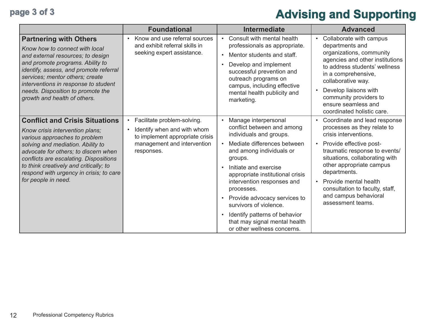# page 3 of 3 **Advising and Supporting**

|                                                                                                                                                                                                                                                                                                                                              | <b>Foundational</b>                                                                                                                                     | <b>Intermediate</b>                                                                                                                                                                                                                                                                                                                                                                                                                               | <b>Advanced</b>                                                                                                                                                                                                                                                                                                                                       |
|----------------------------------------------------------------------------------------------------------------------------------------------------------------------------------------------------------------------------------------------------------------------------------------------------------------------------------------------|---------------------------------------------------------------------------------------------------------------------------------------------------------|---------------------------------------------------------------------------------------------------------------------------------------------------------------------------------------------------------------------------------------------------------------------------------------------------------------------------------------------------------------------------------------------------------------------------------------------------|-------------------------------------------------------------------------------------------------------------------------------------------------------------------------------------------------------------------------------------------------------------------------------------------------------------------------------------------------------|
| <b>Partnering with Others</b><br>Know how to connect with local<br>and external resources; to design<br>and promote programs. Ability to<br>identify, assess, and promote referral<br>services; mentor others; create<br>interventions in response to student<br>needs. Disposition to promote the<br>growth and health of others.           | Know and use referral sources<br>and exhibit referral skills in<br>seeking expert assistance.                                                           | Consult with mental health<br>professionals as appropriate.<br>Mentor students and staff.<br>$\bullet$<br>Develop and implement<br>$\bullet$<br>successful prevention and<br>outreach programs on<br>campus, including effective<br>mental health publicity and<br>marketing.                                                                                                                                                                     | Collaborate with campus<br>$\bullet$<br>departments and<br>organizations, community<br>agencies and other institutions<br>to address students' wellness<br>in a comprehensive,<br>collaborative way.<br>Develop liaisons with<br>community providers to<br>ensure seamless and<br>coordinated holistic care.                                          |
| <b>Conflict and Crisis Situations</b><br>Know crisis intervention plans;<br>various approaches to problem<br>solving and mediation. Ability to<br>advocate for others; to discern when<br>conflicts are escalating. Dispositions<br>to think creatively and critically; to<br>respond with urgency in crisis; to care<br>for people in need. | Facilitate problem-solving.<br>$\bullet$<br>Identify when and with whom<br>to implement appropriate crisis<br>management and intervention<br>responses. | Manage interpersonal<br>conflict between and among<br>individuals and groups.<br>Mediate differences between<br>and among individuals or<br>groups.<br>Initiate and exercise<br>$\bullet$<br>appropriate institutional crisis<br>intervention responses and<br>processes.<br>Provide advocacy services to<br>$\bullet$<br>survivors of violence.<br>Identify patterns of behavior<br>that may signal mental health<br>or other wellness concerns. | Coordinate and lead response<br>processes as they relate to<br>crisis interventions.<br>Provide effective post-<br>$\bullet$<br>traumatic response to events/<br>situations, collaborating with<br>other appropriate campus<br>departments.<br>Provide mental health<br>consultation to faculty, staff,<br>and campus behavioral<br>assessment teams. |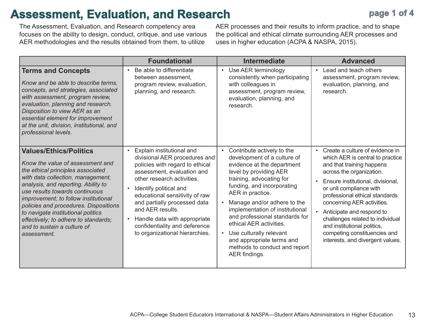## **Assessment, Evaluation, and Research**

The Assessment, Evaluation, and Research competency area focuses on the ability to design, conduct, critique, and use various AER methodologies and the results obtained from them, to utilize

AER processes and their results to inform practice, and to shape the political and ethical climate surrounding AER processes and uses in higher education (ACPA & NASPA, 2015).

|                                                                                                                                                                                                                                                                                                                                                                                                                                   | <b>Foundational</b>                                                                                                                                                                                                                                                                                                                                                          | <b>Intermediate</b>                                                                                                                                                                                                                                                                                                                                                                                                                                   | <b>Advanced</b>                                                                                                                                                                                                                                                                                                                                                                                                                                            |
|-----------------------------------------------------------------------------------------------------------------------------------------------------------------------------------------------------------------------------------------------------------------------------------------------------------------------------------------------------------------------------------------------------------------------------------|------------------------------------------------------------------------------------------------------------------------------------------------------------------------------------------------------------------------------------------------------------------------------------------------------------------------------------------------------------------------------|-------------------------------------------------------------------------------------------------------------------------------------------------------------------------------------------------------------------------------------------------------------------------------------------------------------------------------------------------------------------------------------------------------------------------------------------------------|------------------------------------------------------------------------------------------------------------------------------------------------------------------------------------------------------------------------------------------------------------------------------------------------------------------------------------------------------------------------------------------------------------------------------------------------------------|
| <b>Terms and Concepts</b><br>Know and be able to describe terms,<br>concepts, and strategies, associated<br>with assessment, program review,<br>evaluation, planning and research.<br>Disposition to view AER as an<br>essential element for improvement<br>at the unit, division, institutional, and<br>professional levels.                                                                                                     | Be able to differentiate<br>between assessment,<br>program review, evaluation,<br>planning, and research.                                                                                                                                                                                                                                                                    | Use AER terminology<br>$\bullet$<br>consistently when participating<br>with colleagues in<br>assessment, program review,<br>evaluation, planning, and<br>research.                                                                                                                                                                                                                                                                                    | Lead and teach others<br>assessment, program review,<br>evaluation, planning, and<br>research.                                                                                                                                                                                                                                                                                                                                                             |
| <b>Values/Ethics/Politics</b><br>Know the value of assessment and<br>the ethical principles associated<br>with data collection, management,<br>analysis, and reporting. Ability to<br>use results towards continuous<br>improvement; to follow institutional<br>policies and procedures. Dispositions<br>to navigate institutional politics<br>effectively; to adhere to standards;<br>and to sustain a culture of<br>assessment. | Explain institutional and<br>divisional AER procedures and<br>policies with regard to ethical<br>assessment, evaluation and<br>other research activities.<br>Identify political and<br>educational sensitivity of raw<br>and partially processed data<br>and AER results.<br>Handle data with appropriate<br>confidentiality and deference<br>to organizational hierarchies. | Contribute actively to the<br>$\bullet$<br>development of a culture of<br>evidence at the department<br>level by providing AER<br>training, advocating for<br>funding, and incorporating<br>AER in practice.<br>Manage and/or adhere to the<br>implementation of institutional<br>and professional standards for<br>ethical AER activities.<br>Use culturally relevant<br>and appropriate terms and<br>methods to conduct and report<br>AER findings. | Create a culture of evidence in<br>$\bullet$<br>which AER is central to practice<br>and that training happens<br>across the organization.<br>Ensure institutional, divisional,<br>$\bullet$<br>or unit compliance with<br>professional ethical standards<br>concerning AER activities.<br>Anticipate and respond to<br>challenges related to individual<br>and institutional politics,<br>competing constituencies and<br>interests, and divergent values. |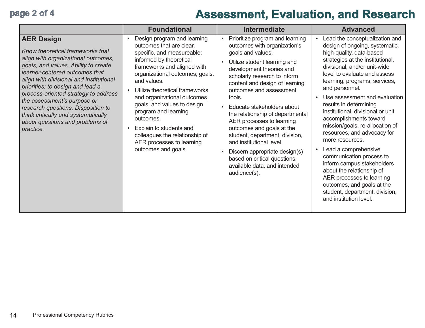## **page 2 of 4 Assessment, Evaluation, and Research**

|                                                                                                                                                                                                                                                                                                                                                                                                                                                           | <b>Foundational</b>                                                                                                                                                                                                                                                                                                                                                                                                                                      | <b>Intermediate</b>                                                                                                                                                                                                                                                                                                                                                                                                                                                                                                                                                                                       | <b>Advanced</b>                                                                                                                                                                                                                                                                                                                                                                                                                                                                                                                                                                                                                                                                                                                                 |
|-----------------------------------------------------------------------------------------------------------------------------------------------------------------------------------------------------------------------------------------------------------------------------------------------------------------------------------------------------------------------------------------------------------------------------------------------------------|----------------------------------------------------------------------------------------------------------------------------------------------------------------------------------------------------------------------------------------------------------------------------------------------------------------------------------------------------------------------------------------------------------------------------------------------------------|-----------------------------------------------------------------------------------------------------------------------------------------------------------------------------------------------------------------------------------------------------------------------------------------------------------------------------------------------------------------------------------------------------------------------------------------------------------------------------------------------------------------------------------------------------------------------------------------------------------|-------------------------------------------------------------------------------------------------------------------------------------------------------------------------------------------------------------------------------------------------------------------------------------------------------------------------------------------------------------------------------------------------------------------------------------------------------------------------------------------------------------------------------------------------------------------------------------------------------------------------------------------------------------------------------------------------------------------------------------------------|
| <b>AER Design</b><br>Know theoretical frameworks that<br>align with organizational outcomes,<br>goals, and values. Ability to create<br>learner-centered outcomes that<br>align with divisional and institutional<br>priorities; to design and lead a<br>process-oriented strategy to address<br>the assessment's purpose or<br>research questions. Disposition to<br>think critically and systematically<br>about questions and problems of<br>practice. | Design program and learning<br>outcomes that are clear,<br>specific, and measureable;<br>informed by theoretical<br>frameworks and aligned with<br>organizational outcomes, goals,<br>and values.<br>Utilize theoretical frameworks<br>and organizational outcomes,<br>goals, and values to design<br>program and learning<br>outcomes.<br>Explain to students and<br>colleagues the relationship of<br>AER processes to learning<br>outcomes and goals. | Prioritize program and learning<br>$\bullet$<br>outcomes with organization's<br>goals and values.<br>Utilize student learning and<br>$\bullet$<br>development theories and<br>scholarly research to inform<br>content and design of learning<br>outcomes and assessment<br>tools.<br>Educate stakeholders about<br>$\bullet$<br>the relationship of departmental<br>AER processes to learning<br>outcomes and goals at the<br>student, department, division,<br>and institutional level.<br>Discern appropriate design(s)<br>based on critical questions,<br>available data, and intended<br>audience(s). | Lead the conceptualization and<br>$\bullet$<br>design of ongoing, systematic,<br>high-quality, data-based<br>strategies at the institutional,<br>divisional, and/or unit-wide<br>level to evaluate and assess<br>learning, programs, services,<br>and personnel.<br>Use assessment and evaluation<br>$\bullet$<br>results in determining<br>institutional, divisional or unit<br>accomplishments toward<br>mission/goals, re-allocation of<br>resources, and advocacy for<br>more resources.<br>Lead a comprehensive<br>$\bullet$<br>communication process to<br>inform campus stakeholders<br>about the relationship of<br>AER processes to learning<br>outcomes, and goals at the<br>student, department, division,<br>and institution level. |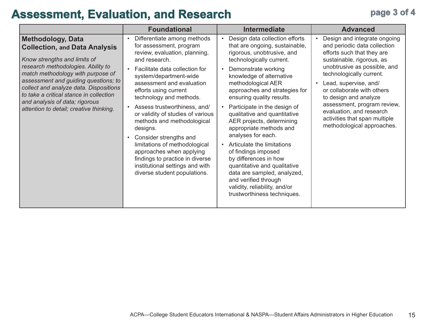## Assessment, Evaluation, and Research **page 3 of 4**

|                                                                                                                                                                                                                                                                                                                                                                                       | <b>Foundational</b>                                                                                                                                                                                                                                                                                                                                                                                                                                                                                                                                               | <b>Intermediate</b>                                                                                                                                                                                                                                                                                                                                                                                                                                                                                                                                                                                                                                                            | <b>Advanced</b>                                                                                                                                                                                                                                                                                                                                                                               |
|---------------------------------------------------------------------------------------------------------------------------------------------------------------------------------------------------------------------------------------------------------------------------------------------------------------------------------------------------------------------------------------|-------------------------------------------------------------------------------------------------------------------------------------------------------------------------------------------------------------------------------------------------------------------------------------------------------------------------------------------------------------------------------------------------------------------------------------------------------------------------------------------------------------------------------------------------------------------|--------------------------------------------------------------------------------------------------------------------------------------------------------------------------------------------------------------------------------------------------------------------------------------------------------------------------------------------------------------------------------------------------------------------------------------------------------------------------------------------------------------------------------------------------------------------------------------------------------------------------------------------------------------------------------|-----------------------------------------------------------------------------------------------------------------------------------------------------------------------------------------------------------------------------------------------------------------------------------------------------------------------------------------------------------------------------------------------|
| <b>Methodology, Data</b><br><b>Collection, and Data Analysis</b><br>Know strengths and limits of<br>research methodologies. Ability to<br>match methodology with purpose of<br>assessment and guiding questions; to<br>collect and analyze data. Dispositions<br>to take a critical stance in collection<br>and analysis of data; rigorous<br>attention to detail; creative thinking. | Differentiate among methods<br>for assessment, program<br>review, evaluation, planning,<br>and research.<br>Facilitate data collection for<br>system/department-wide<br>assessment and evaluation<br>efforts using current<br>technology and methods.<br>Assess trustworthiness, and/<br>or validity of studies of various<br>methods and methodological<br>designs.<br>Consider strengths and<br>limitations of methodological<br>approaches when applying<br>findings to practice in diverse<br>institutional settings and with<br>diverse student populations. | Design data collection efforts<br>that are ongoing, sustainable,<br>rigorous, unobtrusive, and<br>technologically current.<br>Demonstrate working<br>$\bullet$<br>knowledge of alternative<br>methodological AER<br>approaches and strategies for<br>ensuring quality results.<br>Participate in the design of<br>qualitative and quantitative<br>AER projects, determining<br>appropriate methods and<br>analyses for each.<br>Articulate the limitations<br>$\bullet$<br>of findings imposed<br>by differences in how<br>quantitative and qualitative<br>data are sampled, analyzed,<br>and verified through<br>validity, reliability, and/or<br>trustworthiness techniques. | Design and integrate ongoing<br>and periodic data collection<br>efforts such that they are<br>sustainable, rigorous, as<br>unobtrusive as possible, and<br>technologically current.<br>Lead, supervise, and/<br>or collaborate with others<br>to design and analyze<br>assessment, program review,<br>evaluation, and research<br>activities that span multiple<br>methodological approaches. |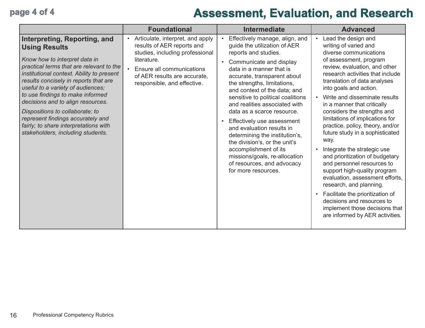## **page 4 of 4 Assessment, Evaluation, and Research**

|                                                                                                                                                                                                                                                                                                                                                                                                                                                                                             | <b>Foundational</b>                                                                                                                                                                                                                    | <b>Intermediate</b>                                                                                                                                                                                                                                                                                                                                                                                                                                                                                                                                                                          | <b>Advanced</b>                                                                                                                                                                                                                                                                                                                                                                                                                                                                                                                                                                                                                                                                                                                                                                       |
|---------------------------------------------------------------------------------------------------------------------------------------------------------------------------------------------------------------------------------------------------------------------------------------------------------------------------------------------------------------------------------------------------------------------------------------------------------------------------------------------|----------------------------------------------------------------------------------------------------------------------------------------------------------------------------------------------------------------------------------------|----------------------------------------------------------------------------------------------------------------------------------------------------------------------------------------------------------------------------------------------------------------------------------------------------------------------------------------------------------------------------------------------------------------------------------------------------------------------------------------------------------------------------------------------------------------------------------------------|---------------------------------------------------------------------------------------------------------------------------------------------------------------------------------------------------------------------------------------------------------------------------------------------------------------------------------------------------------------------------------------------------------------------------------------------------------------------------------------------------------------------------------------------------------------------------------------------------------------------------------------------------------------------------------------------------------------------------------------------------------------------------------------|
| Interpreting, Reporting, and<br><b>Using Results</b><br>Know how to interpret data in<br>practical terms that are relevant to the<br>institutional context. Ability to present<br>results concisely in reports that are<br>useful to a variety of audiences;<br>to use findings to make informed<br>decisions and to align resources.<br>Dispositions to collaborate; to<br>represent findings accurately and<br>fairly; to share interpretations with<br>stakeholders, including students. | Articulate, interpret, and apply<br>$\bullet$<br>results of AER reports and<br>studies, including professional<br>literature.<br>Ensure all communications<br>$\bullet$<br>of AER results are accurate,<br>responsible, and effective. | Effectively manage, align, and<br>guide the utilization of AER<br>reports and studies.<br>Communicate and display<br>data in a manner that is<br>accurate, transparent about<br>the strengths, limitations,<br>and context of the data; and<br>sensitive to political coalitions<br>and realities associated with<br>data as a scarce resource.<br>Effectively use assessment<br>and evaluation results in<br>determining the institution's,<br>the division's, or the unit's<br>accomplishment of its<br>missions/goals, re-allocation<br>of resources, and advocacy<br>for more resources. | Lead the design and<br>writing of varied and<br>diverse communications<br>of assessment, program<br>review, evaluation, and other<br>research activities that include<br>translation of data analyses<br>into goals and action.<br>Write and disseminate results<br>in a manner that critically<br>considers the strengths and<br>limitations of implications for<br>practice, policy, theory, and/or<br>future study in a sophisticated<br>way.<br>Integrate the strategic use<br>and prioritization of budgetary<br>and personnel resources to<br>support high-quality program<br>evaluation, assessment efforts,<br>research, and planning.<br>Facilitate the prioritization of<br>decisions and resources to<br>implement those decisions that<br>are informed by AER activities. |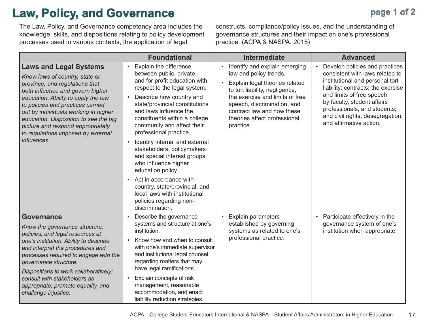## **Law, Policy, and Governance**

The Law, Policy, and Governance competency area includes the knowledge, skills, and dispositions relating to policy development processes used in various contexts, the application of legal

constructs, compliance/policy issues, and the understanding of governance structures and their impact on one's professional practice. (ACPA & NASPA, 2015)

|                                                                                                                                                                                                                                                                                                                                                                                              | <b>Foundational</b>                                                                                                                                                                                                                                                                                                                                                                                                                                                                                                      | <b>Intermediate</b>                                                                                                                                                                                                                                                                                | <b>Advanced</b>                                                                                                                                                                                                                                                                                                    |
|----------------------------------------------------------------------------------------------------------------------------------------------------------------------------------------------------------------------------------------------------------------------------------------------------------------------------------------------------------------------------------------------|--------------------------------------------------------------------------------------------------------------------------------------------------------------------------------------------------------------------------------------------------------------------------------------------------------------------------------------------------------------------------------------------------------------------------------------------------------------------------------------------------------------------------|----------------------------------------------------------------------------------------------------------------------------------------------------------------------------------------------------------------------------------------------------------------------------------------------------|--------------------------------------------------------------------------------------------------------------------------------------------------------------------------------------------------------------------------------------------------------------------------------------------------------------------|
| <b>Laws and Legal Systems</b><br>Know laws of country, state or<br>province, and regulations that<br>both influence and govern higher<br>education. Ability to apply the law<br>to policies and practices carried<br>out by individuals working in higher<br>education. Disposition to see the big<br>picture and respond appropriately<br>to regulations imposed by external<br>influences. | <b>Explain the difference</b><br>$\bullet$<br>between public, private,<br>and for profit education with<br>respect to the legal system.<br>Describe how country and<br>$\bullet$<br>state/provincial constitutions<br>and laws influence the<br>constituents within a college<br>community and affect their<br>professional practice.<br>Identify internal and external<br>$\bullet$<br>stakeholders, policymakers<br>and special interest groups<br>who influence higher<br>education policy.<br>Act in accordance with | Identify and explain emerging<br>$\bullet$<br>law and policy trends.<br>Explain legal theories related<br>$\bullet$<br>to tort liability, negligence,<br>the exercise and limits of free<br>speech, discrimination, and<br>contract law and how these<br>theories affect professional<br>practice. | Develop policies and practices<br>$\bullet$<br>consistent with laws related to<br>institutional and personal tort<br>liability; contracts; the exercise<br>and limits of free speech<br>by faculty, student affairs<br>professionals, and students;<br>and civil rights, desegregation,<br>and affirmative action. |
|                                                                                                                                                                                                                                                                                                                                                                                              | country, state/provincial, and<br>local laws with institutional<br>policies regarding non-<br>discrimination.                                                                                                                                                                                                                                                                                                                                                                                                            |                                                                                                                                                                                                                                                                                                    |                                                                                                                                                                                                                                                                                                                    |
| Governance<br>Know the governance structure,<br>policies, and legal resources at<br>one's institution. Ability to describe<br>and interpret the procedures and<br>processes required to engage with the<br>governance structure.<br>Dispositions to work collaboratively;<br>consult with stakeholders as<br>appropriate; promote equality, and<br>challenge injustice.                      | Describe the governance<br>systems and structure at one's<br>institution.<br>Know how and when to consult<br>with one's immediate supervisor<br>and institutional legal counsel<br>regarding matters that may<br>have legal ramifications.<br>Explain concepts of risk<br>$\bullet$<br>management, reasonable<br>accommodation, and enact<br>liability reduction strategies.                                                                                                                                             | <b>Explain parameters</b><br>$\bullet$<br>established by governing<br>systems as related to one's<br>professional practice.                                                                                                                                                                        | Participate effectively in the<br>governance system of one's<br>institution when appropriate.                                                                                                                                                                                                                      |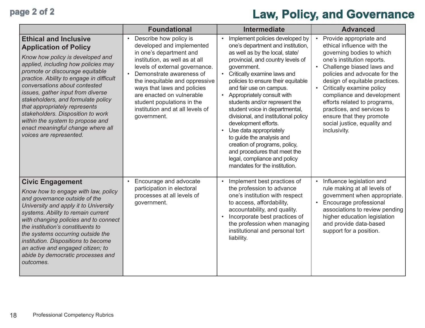# page 2 of 2 **Law, Policy, and Governance**

|                                                                                                                                                                                                                                                                                                                                                                                                                                                                                                              | <b>Foundational</b>                                                                                                                                                                                                                                                                                                                                                        | <b>Intermediate</b>                                                                                                                                                                                                                                                                                                                                                                                                                                                                                                                                                                                                                                          | <b>Advanced</b>                                                                                                                                                                                                                                                                                                                                                                                                                                 |
|--------------------------------------------------------------------------------------------------------------------------------------------------------------------------------------------------------------------------------------------------------------------------------------------------------------------------------------------------------------------------------------------------------------------------------------------------------------------------------------------------------------|----------------------------------------------------------------------------------------------------------------------------------------------------------------------------------------------------------------------------------------------------------------------------------------------------------------------------------------------------------------------------|--------------------------------------------------------------------------------------------------------------------------------------------------------------------------------------------------------------------------------------------------------------------------------------------------------------------------------------------------------------------------------------------------------------------------------------------------------------------------------------------------------------------------------------------------------------------------------------------------------------------------------------------------------------|-------------------------------------------------------------------------------------------------------------------------------------------------------------------------------------------------------------------------------------------------------------------------------------------------------------------------------------------------------------------------------------------------------------------------------------------------|
| <b>Ethical and Inclusive</b><br><b>Application of Policy</b><br>Know how policy is developed and<br>applied, including how policies may<br>promote or discourage equitable<br>practice. Ability to engage in difficult<br>conversations about contested<br>issues, gather input from diverse<br>stakeholders, and formulate policy<br>that appropriately represents<br>stakeholders. Disposition to work<br>within the system to propose and<br>enact meaningful change where all<br>voices are represented. | Describe how policy is<br>$\bullet$<br>developed and implemented<br>in one's department and<br>institution, as well as at all<br>levels of external governance.<br>Demonstrate awareness of<br>the inequitable and oppressive<br>ways that laws and policies<br>are enacted on vulnerable<br>student populations in the<br>institution and at all levels of<br>government. | Implement policies developed by<br>$\bullet$<br>one's department and institution,<br>as well as by the local, state/<br>provincial, and country levels of<br>government.<br>Critically examine laws and<br>$\bullet$<br>policies to ensure their equitable<br>and fair use on campus.<br>Appropriately consult with<br>students and/or represent the<br>student voice in departmental,<br>divisional, and institutional policy<br>development efforts.<br>Use data appropriately<br>$\bullet$<br>to guide the analysis and<br>creation of programs, policy,<br>and procedures that meet the<br>legal, compliance and policy<br>mandates for the institution. | Provide appropriate and<br>$\bullet$<br>ethical influence with the<br>governing bodies to which<br>one's institution reports.<br>Challenge biased laws and<br>$\bullet$<br>policies and advocate for the<br>design of equitable practices.<br>Critically examine policy<br>compliance and development<br>efforts related to programs,<br>practices, and services to<br>ensure that they promote<br>social justice, equality and<br>inclusivity. |
| <b>Civic Engagement</b><br>Know how to engage with law, policy<br>and governance outside of the<br>University and apply it to University<br>systems. Ability to remain current<br>with changing policies and to connect<br>the institution's constituents to<br>the systems occurring outside the<br>institution. Dispositions to become<br>an active and engaged citizen; to<br>abide by democratic processes and<br>outcomes.                                                                              | Encourage and advocate<br>$\bullet$<br>participation in electoral<br>processes at all levels of<br>government.                                                                                                                                                                                                                                                             | Implement best practices of<br>$\bullet$<br>the profession to advance<br>one's institution with respect<br>to access, affordability,<br>accountability, and quality.<br>Incorporate best practices of<br>$\bullet$<br>the profession when managing<br>institutional and personal tort<br>liability.                                                                                                                                                                                                                                                                                                                                                          | Influence legislation and<br>rule making at all levels of<br>government when appropriate.<br>Encourage professional<br>associations to review pending<br>higher education legislation<br>and provide data-based<br>support for a position.                                                                                                                                                                                                      |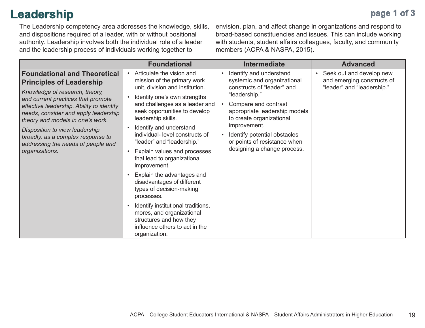## **Leadership**

**page 1 of 3**

The Leadership competency area addresses the knowledge, skills, and dispositions required of a leader, with or without positional authority. Leadership involves both the individual role of a leader and the leadership process of individuals working together to

envision, plan, and affect change in organizations and respond to broad-based constituencies and issues. This can include working with students, student affairs colleagues, faculty, and community members (ACPA & NASPA, 2015).

|                                                                                                                                                                                                                                                                                                                                                                                                        | <b>Foundational</b>                                                                                                                                                                                                                                                                                                                                                                                                                                                                                                                                                                                                                                                 | <b>Intermediate</b>                                                                                                                                                                                                                                                                                                    | <b>Advanced</b>                                                                                   |
|--------------------------------------------------------------------------------------------------------------------------------------------------------------------------------------------------------------------------------------------------------------------------------------------------------------------------------------------------------------------------------------------------------|---------------------------------------------------------------------------------------------------------------------------------------------------------------------------------------------------------------------------------------------------------------------------------------------------------------------------------------------------------------------------------------------------------------------------------------------------------------------------------------------------------------------------------------------------------------------------------------------------------------------------------------------------------------------|------------------------------------------------------------------------------------------------------------------------------------------------------------------------------------------------------------------------------------------------------------------------------------------------------------------------|---------------------------------------------------------------------------------------------------|
| <b>Foundational and Theoretical</b><br><b>Principles of Leadership</b><br>Knowledge of research, theory,<br>and current practices that promote<br>effective leadership. Ability to identify<br>needs, consider and apply leadership<br>theory and models in one's work.<br>Disposition to view leadership<br>broadly, as a complex response to<br>addressing the needs of people and<br>organizations. | Articulate the vision and<br>$\bullet$<br>mission of the primary work<br>unit, division and institution.<br>Identify one's own strengths<br>and challenges as a leader and<br>seek opportunities to develop<br>leadership skills.<br>Identify and understand<br>individual- level constructs of<br>"leader" and "leadership."<br>Explain values and processes<br>that lead to organizational<br>improvement.<br>Explain the advantages and<br>disadvantages of different<br>types of decision-making<br>processes.<br>Identify institutional traditions,<br>mores, and organizational<br>structures and how they<br>influence others to act in the<br>organization. | Identify and understand<br>$\bullet$<br>systemic and organizational<br>constructs of "leader" and<br>"leadership."<br>Compare and contrast<br>appropriate leadership models<br>to create organizational<br>improvement.<br>Identify potential obstacles<br>or points of resistance when<br>designing a change process. | Seek out and develop new<br>$\bullet$<br>and emerging constructs of<br>"leader" and "leadership." |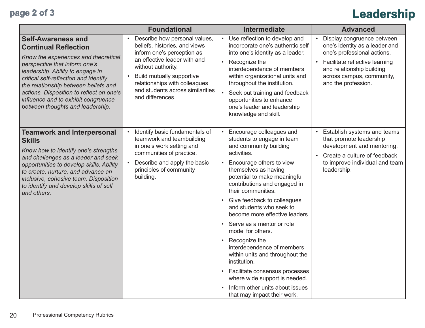# **page 2 of 3 Leadership**

|                                                                                                                                                                                                                                                                                                                                                                               | <b>Foundational</b>                                                                                                                                                                                                                                                                                       | <b>Intermediate</b>                                                                                                                                                                                                                                                                                                                                                                                                                                                                                                                                                                                                                                          | <b>Advanced</b>                                                                                                                                                                                                                          |
|-------------------------------------------------------------------------------------------------------------------------------------------------------------------------------------------------------------------------------------------------------------------------------------------------------------------------------------------------------------------------------|-----------------------------------------------------------------------------------------------------------------------------------------------------------------------------------------------------------------------------------------------------------------------------------------------------------|--------------------------------------------------------------------------------------------------------------------------------------------------------------------------------------------------------------------------------------------------------------------------------------------------------------------------------------------------------------------------------------------------------------------------------------------------------------------------------------------------------------------------------------------------------------------------------------------------------------------------------------------------------------|------------------------------------------------------------------------------------------------------------------------------------------------------------------------------------------------------------------------------------------|
| <b>Self-Awareness and</b><br><b>Continual Reflection</b><br>Know the experiences and theoretical<br>perspective that inform one's<br>leadership. Ability to engage in<br>critical self-reflection and identify<br>the relationship between beliefs and<br>actions. Disposition to reflect on one's<br>influence and to exhibit congruence<br>between thoughts and leadership. | Describe how personal values,<br>$\bullet$<br>beliefs, histories, and views<br>inform one's perception as<br>an effective leader with and<br>without authority.<br><b>Build mutually supportive</b><br>$\bullet$<br>relationships with colleagues<br>and students across similarities<br>and differences. | Use reflection to develop and<br>$\bullet$<br>incorporate one's authentic self<br>into one's identity as a leader.<br>Recognize the<br>$\bullet$<br>interdependence of members<br>within organizational units and<br>throughout the institution.<br>Seek out training and feedback<br>opportunities to enhance<br>one's leader and leadership<br>knowledge and skill.                                                                                                                                                                                                                                                                                        | Display congruence between<br>$\bullet$<br>one's identity as a leader and<br>one's professional actions.<br>Facilitate reflective learning<br>$\bullet$<br>and relationship building<br>across campus, community,<br>and the profession. |
| <b>Teamwork and Interpersonal</b><br><b>Skills</b><br>Know how to identify one's strengths<br>and challenges as a leader and seek<br>opportunities to develop skills. Ability<br>to create, nurture, and advance an<br>inclusive, cohesive team. Disposition<br>to identify and develop skills of self<br>and others.                                                         | Identify basic fundamentals of<br>$\bullet$<br>teamwork and teambuilding<br>in one's work setting and<br>communities of practice.<br>Describe and apply the basic<br>principles of community<br>building.                                                                                                 | Encourage colleagues and<br>$\bullet$<br>students to engage in team<br>and community building<br>activities.<br>Encourage others to view<br>themselves as having<br>potential to make meaningful<br>contributions and engaged in<br>their communities.<br>• Give feedback to colleagues<br>and students who seek to<br>become more effective leaders<br>• Serve as a mentor or role<br>model for others.<br>Recognize the<br>interdependence of members<br>within units and throughout the<br>institution.<br>Facilitate consensus processes<br>$\bullet$<br>where wide support is needed.<br>Inform other units about issues<br>that may impact their work. | Establish systems and teams<br>$\bullet$<br>that promote leadership<br>development and mentoring.<br>Create a culture of feedback<br>$\bullet$<br>to improve individual and team<br>leadership.                                          |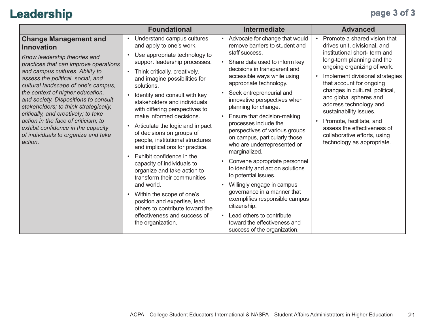## **Leadership page 3 of 3**

|                                                                                                                                                                                                                                                                                                                                                                                                                                                                                                                                      | <b>Foundational</b>                                                                                                                                                                                                                                                                                                                                                                                                                                                                                                                                                                                                                                                                                                                                                                                                                          | <b>Intermediate</b>                                                                                                                                                                                                                                                                                                                                                                                                                                                                                                                                                                                                                                                                                                                                                                                                                                    | <b>Advanced</b>                                                                                                                                                                                                                                                                                                                                                                                                                                                                  |
|--------------------------------------------------------------------------------------------------------------------------------------------------------------------------------------------------------------------------------------------------------------------------------------------------------------------------------------------------------------------------------------------------------------------------------------------------------------------------------------------------------------------------------------|----------------------------------------------------------------------------------------------------------------------------------------------------------------------------------------------------------------------------------------------------------------------------------------------------------------------------------------------------------------------------------------------------------------------------------------------------------------------------------------------------------------------------------------------------------------------------------------------------------------------------------------------------------------------------------------------------------------------------------------------------------------------------------------------------------------------------------------------|--------------------------------------------------------------------------------------------------------------------------------------------------------------------------------------------------------------------------------------------------------------------------------------------------------------------------------------------------------------------------------------------------------------------------------------------------------------------------------------------------------------------------------------------------------------------------------------------------------------------------------------------------------------------------------------------------------------------------------------------------------------------------------------------------------------------------------------------------------|----------------------------------------------------------------------------------------------------------------------------------------------------------------------------------------------------------------------------------------------------------------------------------------------------------------------------------------------------------------------------------------------------------------------------------------------------------------------------------|
| <b>Change Management and</b><br><b>Innovation</b><br>Know leadership theories and<br>practices that can improve operations<br>and campus cultures. Ability to<br>assess the political, social, and<br>cultural landscape of one's campus,<br>the context of higher education,<br>and society. Dispositions to consult<br>stakeholders; to think strategically,<br>critically, and creatively; to take<br>action in the face of criticism; to<br>exhibit confidence in the capacity<br>of individuals to organize and take<br>action. | Understand campus cultures<br>$\bullet$<br>and apply to one's work.<br>Use appropriate technology to<br>$\bullet$<br>support leadership processes.<br>Think critically, creatively,<br>$\bullet$ .<br>and imagine possibilities for<br>solutions.<br>Identify and consult with key<br>stakeholders and individuals<br>with differing perspectives to<br>make informed decisions.<br>Articulate the logic and impact<br>$\bullet$<br>of decisions on groups of<br>people, institutional structures<br>and implications for practice.<br>Exhibit confidence in the<br>$\bullet$<br>capacity of individuals to<br>organize and take action to<br>transform their communities<br>and world.<br>Within the scope of one's<br>position and expertise, lead<br>others to contribute toward the<br>effectiveness and success of<br>the organization. | Advocate for change that would<br>$\bullet$<br>remove barriers to student and<br>staff success.<br>Share data used to inform key<br>$\bullet$<br>decisions in transparent and<br>accessible ways while using<br>appropriate technology.<br>Seek entrepreneurial and<br>innovative perspectives when<br>planning for change.<br>Ensure that decision-making<br>$\bullet$<br>processes include the<br>perspectives of various groups<br>on campus, particularly those<br>who are underrepresented or<br>marginalized.<br>Convene appropriate personnel<br>to identify and act on solutions<br>to potential issues.<br>Willingly engage in campus<br>$\bullet$<br>governance in a manner that<br>exemplifies responsible campus<br>citizenship.<br>Lead others to contribute<br>$\bullet$<br>toward the effectiveness and<br>success of the organization. | Promote a shared vision that<br>$\bullet$<br>drives unit, divisional, and<br>institutional short- term and<br>long-term planning and the<br>ongoing organizing of work.<br>Implement divisional strategies<br>that account for ongoing<br>changes in cultural, political,<br>and global spheres and<br>address technology and<br>sustainability issues.<br>Promote, facilitate, and<br>assess the effectiveness of<br>collaborative efforts, using<br>technology as appropriate. |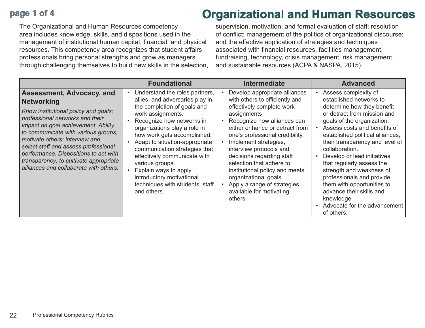## **page 1 of 4**

The Organizational and Human Resources competency area includes knowledge, skills, and dispositions used in the management of institutional human capital, financial, and physical resources. This competency area recognizes that student affairs professionals bring personal strengths and grow as managers through challenging themselves to build new skills in the selection,

## **Organizational and Human Resources**

supervision, motivation, and formal evaluation of staff; resolution of conflict; management of the politics of organizational discourse; and the effective application of strategies and techniques associated with financial resources, facilities management, fundraising, technology, crisis management, risk management, and sustainable resources (ACPA & NASPA, 2015).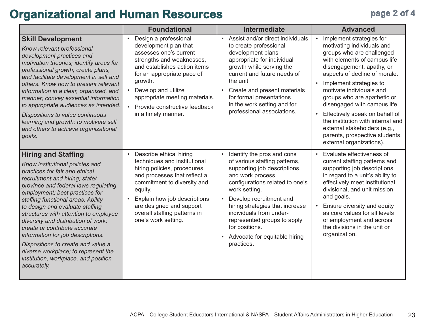## **Organizational and Human Resources page 2 of 4**

|                                                                                                                                                                                                                                                                                                                                                                                                                                                                                                                                                                                | <b>Foundational</b>                                                                                                                                                                                                                                                                                                       | <b>Intermediate</b>                                                                                                                                                                                                                                                                                                                                                                                 | <b>Advanced</b>                                                                                                                                                                                                                                                                                                                                                                                                                                                                           |
|--------------------------------------------------------------------------------------------------------------------------------------------------------------------------------------------------------------------------------------------------------------------------------------------------------------------------------------------------------------------------------------------------------------------------------------------------------------------------------------------------------------------------------------------------------------------------------|---------------------------------------------------------------------------------------------------------------------------------------------------------------------------------------------------------------------------------------------------------------------------------------------------------------------------|-----------------------------------------------------------------------------------------------------------------------------------------------------------------------------------------------------------------------------------------------------------------------------------------------------------------------------------------------------------------------------------------------------|-------------------------------------------------------------------------------------------------------------------------------------------------------------------------------------------------------------------------------------------------------------------------------------------------------------------------------------------------------------------------------------------------------------------------------------------------------------------------------------------|
| <b>Skill Development</b><br>Know relevant professional<br>development practices and<br>motivation theories; identify areas for<br>professional growth, create plans,<br>and facilitate development in self and<br>others. Know how to present relevant<br>information in a clear, organized, and<br>manner; convey essential information<br>to appropriate audiences as intended.<br>Dispositions to value continuous<br>learning and growth; to motivate self<br>and others to achieve organizational<br>goals.                                                               | Design a professional<br>$\bullet$<br>development plan that<br>assesses one's current<br>strengths and weaknesses,<br>and establishes action items<br>for an appropriate pace of<br>growth.<br>Develop and utilize<br>appropriate meeting materials.<br>Provide constructive feedback<br>$\bullet$<br>in a timely manner. | Assist and/or direct individuals<br>$\bullet$<br>to create professional<br>development plans<br>appropriate for individual<br>growth while serving the<br>current and future needs of<br>the unit.<br>Create and present materials<br>$\bullet$<br>for formal presentations<br>in the work setting and for<br>professional associations.                                                            | Implement strategies for<br>$\bullet$<br>motivating individuals and<br>groups who are challenged<br>with elements of campus life<br>disengagement, apathy, or<br>aspects of decline of morale.<br>Implement strategies to<br>motivate individuals and<br>groups who are apathetic or<br>disengaged with campus life.<br>Effectively speak on behalf of<br>the institution with internal and<br>external stakeholders (e.g.,<br>parents, prospective students,<br>external organizations). |
| <b>Hiring and Staffing</b><br>Know institutional policies and<br>practices for fair and ethical<br>recruitment and hiring; state/<br>province and federal laws regulating<br>employment; best practices for<br>staffing functional areas. Ability<br>to design and evaluate staffing<br>structures with attention to employee<br>diversity and distribution of work;<br>create or contribute accurate<br>information for job descriptions.<br>Dispositions to create and value a<br>diverse workplace; to represent the<br>institution, workplace, and position<br>accurately. | Describe ethical hiring<br>$\bullet$<br>techniques and institutional<br>hiring policies, procedures,<br>and processes that reflect a<br>commitment to diversity and<br>equity.<br>Explain how job descriptions<br>are designed and support<br>overall staffing patterns in<br>one's work setting.                         | Identify the pros and cons<br>$\bullet$<br>of various staffing patterns,<br>supporting job descriptions,<br>and work process<br>configurations related to one's<br>work setting.<br>Develop recruitment and<br>$\bullet$<br>hiring strategies that increase<br>individuals from under-<br>represented groups to apply<br>for positions.<br>Advocate for equitable hiring<br>$\bullet$<br>practices. | Evaluate effectiveness of<br>$\bullet$<br>current staffing patterns and<br>supporting job descriptions<br>in regard to a unit's ability to<br>effectively meet institutional,<br>divisional, and unit mission<br>and goals.<br>Ensure diversity and equity<br>$\bullet$<br>as core values for all levels<br>of employment and across<br>the divisions in the unit or<br>organization.                                                                                                     |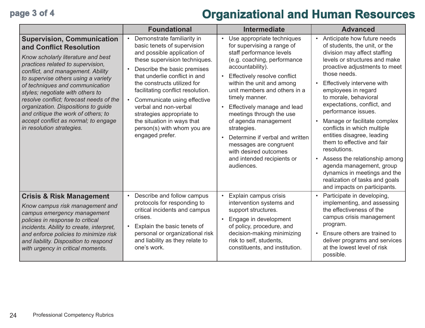## **page 3 of 4 Organizational and Human Resources**

|                                                                                                                                                                                                                                                                                                                                                                                                                                                                                          | <b>Foundational</b>                                                                                                                                                                                                                                                                                                                                                                                                                             | <b>Intermediate</b>                                                                                                                                                                                                                                                                                                                                                                                                                                                                                                               | <b>Advanced</b>                                                                                                                                                                                                                                                                                                                                                                                                                                                                                                                                                                                                                                        |
|------------------------------------------------------------------------------------------------------------------------------------------------------------------------------------------------------------------------------------------------------------------------------------------------------------------------------------------------------------------------------------------------------------------------------------------------------------------------------------------|-------------------------------------------------------------------------------------------------------------------------------------------------------------------------------------------------------------------------------------------------------------------------------------------------------------------------------------------------------------------------------------------------------------------------------------------------|-----------------------------------------------------------------------------------------------------------------------------------------------------------------------------------------------------------------------------------------------------------------------------------------------------------------------------------------------------------------------------------------------------------------------------------------------------------------------------------------------------------------------------------|--------------------------------------------------------------------------------------------------------------------------------------------------------------------------------------------------------------------------------------------------------------------------------------------------------------------------------------------------------------------------------------------------------------------------------------------------------------------------------------------------------------------------------------------------------------------------------------------------------------------------------------------------------|
| <b>Supervision, Communication</b><br>and Conflict Resolution<br>Know scholarly literature and best<br>practices related to supervision,<br>conflict, and management. Ability<br>to supervise others using a variety<br>of techniques and communication<br>styles; negotiate with others to<br>resolve conflict; forecast needs of the<br>organization. Dispositions to guide<br>and critique the work of others; to<br>accept conflict as normal; to engage<br>in resolution strategies. | Demonstrate familiarity in<br>basic tenets of supervision<br>and possible application of<br>these supervision techniques.<br>Describe the basic premises<br>that underlie conflict in and<br>the constructs utilized for<br>facilitating conflict resolution.<br>Communicate using effective<br>$\bullet$<br>verbal and non-verbal<br>strategies appropriate to<br>the situation in ways that<br>person(s) with whom you are<br>engaged prefer. | Use appropriate techniques<br>$\bullet$<br>for supervising a range of<br>staff performance levels<br>(e.g. coaching, performance<br>accountability).<br>Effectively resolve conflict<br>$\bullet$<br>within the unit and among<br>unit members and others in a<br>timely manner.<br>Effectively manage and lead<br>meetings through the use<br>of agenda management<br>strategies.<br>Determine if verbal and written<br>$\bullet$<br>messages are congruent<br>with desired outcomes<br>and intended recipients or<br>audiences. | Anticipate how future needs<br>$\bullet$<br>of students, the unit, or the<br>division may affect staffing<br>levels or structures and make<br>proactive adjustments to meet<br>those needs.<br>Effectively intervene with<br>employees in regard<br>to morale, behavioral<br>expectations, conflict, and<br>performance issues.<br>Manage or facilitate complex<br>conflicts in which multiple<br>entities disagree, leading<br>them to effective and fair<br>resolutions.<br>Assess the relationship among<br>$\bullet$<br>agenda management, group<br>dynamics in meetings and the<br>realization of tasks and goals<br>and impacts on participants. |
| <b>Crisis &amp; Risk Management</b><br>Know campus risk management and<br>campus emergency management<br>policies in response to critical<br>incidents. Ability to create, interpret,<br>and enforce policies to minimize risk<br>and liability. Disposition to respond<br>with urgency in critical moments.                                                                                                                                                                             | Describe and follow campus<br>$\bullet$<br>protocols for responding to<br>critical incidents and campus<br>crises.<br>Explain the basic tenets of<br>personal or organizational risk<br>and liability as they relate to<br>one's work.                                                                                                                                                                                                          | Explain campus crisis<br>$\bullet$<br>intervention systems and<br>support structures.<br>Engage in development<br>$\bullet$<br>of policy, procedure, and<br>decision-making minimizing<br>risk to self, students,<br>constituents, and institution.                                                                                                                                                                                                                                                                               | Participate in developing,<br>$\bullet$<br>implementing, and assessing<br>the effectiveness of the<br>campus crisis management<br>program.<br>Ensure others are trained to<br>$\bullet$<br>deliver programs and services<br>at the lowest level of risk<br>possible.                                                                                                                                                                                                                                                                                                                                                                                   |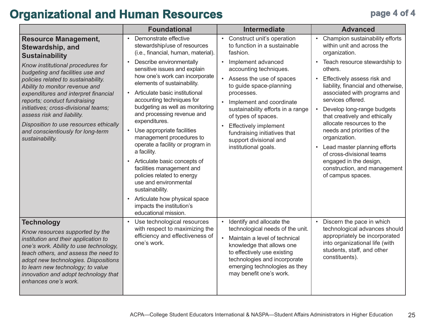## **Organizational and Human Resources page 4 of 4**

|                                                                                                                                                                                                                                                                                                                                                                                                | <b>Foundational</b>                                                                                                                                                                                                                                                                                                                                                                                                                                                                                                                                                                                                                                         | <b>Intermediate</b>                                                                                                                                                                                                                                                                                                                        | <b>Advanced</b>                                                                                                                                                                                                                                                                                                                                                                                                                                                                       |
|------------------------------------------------------------------------------------------------------------------------------------------------------------------------------------------------------------------------------------------------------------------------------------------------------------------------------------------------------------------------------------------------|-------------------------------------------------------------------------------------------------------------------------------------------------------------------------------------------------------------------------------------------------------------------------------------------------------------------------------------------------------------------------------------------------------------------------------------------------------------------------------------------------------------------------------------------------------------------------------------------------------------------------------------------------------------|--------------------------------------------------------------------------------------------------------------------------------------------------------------------------------------------------------------------------------------------------------------------------------------------------------------------------------------------|---------------------------------------------------------------------------------------------------------------------------------------------------------------------------------------------------------------------------------------------------------------------------------------------------------------------------------------------------------------------------------------------------------------------------------------------------------------------------------------|
| <b>Resource Management,</b><br>Stewardship, and<br><b>Sustainability</b>                                                                                                                                                                                                                                                                                                                       | Demonstrate effective<br>$\bullet$<br>stewardship/use of resources<br>(i.e., financial, human, material).                                                                                                                                                                                                                                                                                                                                                                                                                                                                                                                                                   | • Construct unit's operation<br>to function in a sustainable<br>fashion.                                                                                                                                                                                                                                                                   | Champion sustainability efforts<br>$\bullet$<br>within unit and across the<br>organization.                                                                                                                                                                                                                                                                                                                                                                                           |
| Know institutional procedures for<br>budgeting and facilities use and<br>policies related to sustainability.<br>Ability to monitor revenue and<br>expenditures and interpret financial<br>reports; conduct fundraising<br>initiatives; cross-divisional teams;<br>assess risk and liability.<br>Disposition to use resources ethically<br>and conscientiously for long-term<br>sustainability. | Describe environmentally<br>$\bullet$<br>sensitive issues and explain<br>how one's work can incorporate<br>elements of sustainability.<br>Articulate basic institutional<br>accounting techniques for<br>budgeting as well as monitoring<br>and processing revenue and<br>expenditures.<br>Use appropriate facilities<br>management procedures to<br>operate a facility or program in<br>a facility.<br>Articulate basic concepts of<br>$\bullet$<br>facilities management and<br>policies related to energy<br>use and environmental<br>sustainability.<br>Articulate how physical space<br>$\bullet$<br>impacts the institution's<br>educational mission. | Implement advanced<br>accounting techniques.<br>• Assess the use of spaces<br>to guide space-planning<br>processes.<br>Implement and coordinate<br>sustainability efforts in a range<br>of types of spaces.<br><b>Effectively implement</b><br>$\bullet$<br>fundraising initiatives that<br>support divisional and<br>institutional goals. | Teach resource stewardship to<br>others.<br>Effectively assess risk and<br>$\bullet$<br>liability, financial and otherwise,<br>associated with programs and<br>services offered.<br>Develop long-range budgets<br>that creatively and ethically<br>allocate resources to the<br>needs and priorities of the<br>organization.<br>Lead master planning efforts<br>$\bullet$<br>of cross-divisional teams<br>engaged in the design,<br>construction, and management<br>of campus spaces. |
| <b>Technology</b><br>Know resources supported by the<br>institution and their application to<br>one's work. Ability to use technology,<br>teach others, and assess the need to<br>adopt new technologies. Dispositions<br>to learn new technology; to value<br>innovation and adopt technology that<br>enhances one's work.                                                                    | Use technological resources<br>with respect to maximizing the<br>efficiency and effectiveness of<br>one's work.                                                                                                                                                                                                                                                                                                                                                                                                                                                                                                                                             | Identify and allocate the<br>technological needs of the unit.<br>Maintain a level of technical<br>knowledge that allows one<br>to effectively use existing<br>technologies and incorporate<br>emerging technologies as they<br>may benefit one's work.                                                                                     | Discern the pace in which<br>technological advances should<br>appropriately be incorporated<br>into organizational life (with<br>students, staff, and other<br>constituents).                                                                                                                                                                                                                                                                                                         |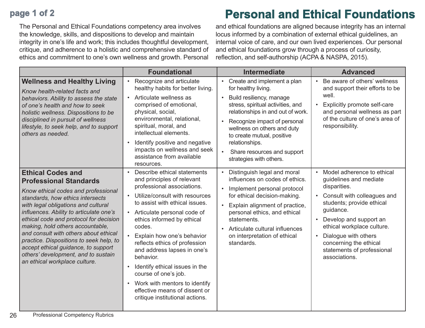## **page 1 of 2**

The Personal and Ethical Foundations competency area involves the knowledge, skills, and dispositions to develop and maintain integrity in one's life and work; this includes thoughtful development, critique, and adherence to a holistic and comprehensive standard of ethics and commitment to one's own wellness and growth. Personal

## **Personal and Ethical Foundations**

and ethical foundations are aligned because integrity has an internal locus informed by a combination of external ethical guidelines, an internal voice of care, and our own lived experiences. Our personal and ethical foundations grow through a process of curiosity, reflection, and self-authorship (ACPA & NASPA, 2015).

|                                                                                                                                                                                                                                                                                                                                                                                                                                                                                                         | <b>Foundational</b>                                                                                                                                                                                                                                                                                                                                                                                                                                                                                                                                                           | <b>Intermediate</b>                                                                                                                                                                                                                                                                                                                                                      | <b>Advanced</b>                                                                                                                                                                                                                                                                                                                  |
|---------------------------------------------------------------------------------------------------------------------------------------------------------------------------------------------------------------------------------------------------------------------------------------------------------------------------------------------------------------------------------------------------------------------------------------------------------------------------------------------------------|-------------------------------------------------------------------------------------------------------------------------------------------------------------------------------------------------------------------------------------------------------------------------------------------------------------------------------------------------------------------------------------------------------------------------------------------------------------------------------------------------------------------------------------------------------------------------------|--------------------------------------------------------------------------------------------------------------------------------------------------------------------------------------------------------------------------------------------------------------------------------------------------------------------------------------------------------------------------|----------------------------------------------------------------------------------------------------------------------------------------------------------------------------------------------------------------------------------------------------------------------------------------------------------------------------------|
| <b>Wellness and Healthy Living</b><br>Know health-related facts and<br>behaviors. Ability to assess the state<br>of one's health and how to seek<br>holistic wellness. Dispositions to be<br>disciplined in pursuit of wellness<br>lifestyle, to seek help, and to support<br>others as needed.                                                                                                                                                                                                         | Recognize and articulate<br>healthy habits for better living.<br>Articulate wellness as<br>comprised of emotional,<br>physical, social,<br>environmental, relational,<br>spiritual, moral, and<br>intellectual elements.<br>Identify positive and negative<br>$\bullet$<br>impacts on wellness and seek<br>assistance from available<br>resources.                                                                                                                                                                                                                            | Create and implement a plan<br>$\bullet$<br>for healthy living.<br>Build resiliency, manage<br>stress, spiritual activities, and<br>relationships in and out of work.<br>Recognize impact of personal<br>$\bullet$<br>wellness on others and duty<br>to create mutual, positive<br>relationships.<br>$\bullet$<br>Share resources and support<br>strategies with others. | Be aware of others' wellness<br>and support their efforts to be<br>well.<br>Explicitly promote self-care<br>and personal wellness as part<br>of the culture of one's area of<br>responsibility.                                                                                                                                  |
| <b>Ethical Codes and</b><br><b>Professional Standards</b><br>Know ethical codes and professional<br>standards, how ethics intersects<br>with legal obligations and cultural<br>influences. Ability to articulate one's<br>ethical code and protocol for decision<br>making, hold others accountable,<br>and consult with others about ethical<br>practice. Dispositions to seek help, to<br>accept ethical guidance, to support<br>others' development, and to sustain<br>an ethical workplace culture. | Describe ethical statements<br>$\bullet$<br>and principles of relevant<br>professional associations.<br>Utilize/consult with resources<br>to assist with ethical issues.<br>Articulate personal code of<br>$\bullet$<br>ethics informed by ethical<br>codes.<br>Explain how one's behavior<br>$\bullet$<br>reflects ethics of profession<br>and address lapses in one's<br>behavior.<br>Identify ethical issues in the<br>$\bullet$<br>course of one's job.<br>Work with mentors to identify<br>$\bullet$<br>effective means of dissent or<br>critique institutional actions. | Distinguish legal and moral<br>influences on codes of ethics.<br>Implement personal protocol<br>$\bullet$<br>for ethical decision-making.<br>Explain alignment of practice,<br>personal ethics, and ethical<br>statements.<br>Articulate cultural influences<br>$\bullet$<br>on interpretation of ethical<br>standards.                                                  | Model adherence to ethical<br>$\bullet$<br>guidelines and mediate<br>disparities.<br>Consult with colleagues and<br>students; provide ethical<br>guidance.<br>Develop and support an<br>ethical workplace culture.<br>Dialogue with others<br>$\bullet$<br>concerning the ethical<br>statements of professional<br>associations. |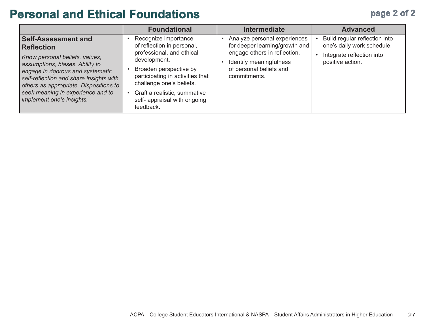## **page 2 of 2**

## **Personal and Ethical Foundations**

|                                                                                                                                                                                                                                                                                                                  | <b>Foundational</b>                                                                                                                                                                                                                                                    | <b>Intermediate</b>                                                                                                                                                  | <b>Advanced</b>                                                                                              |
|------------------------------------------------------------------------------------------------------------------------------------------------------------------------------------------------------------------------------------------------------------------------------------------------------------------|------------------------------------------------------------------------------------------------------------------------------------------------------------------------------------------------------------------------------------------------------------------------|----------------------------------------------------------------------------------------------------------------------------------------------------------------------|--------------------------------------------------------------------------------------------------------------|
| <b>Self-Assessment and</b><br><b>Reflection</b><br>Know personal beliefs, values,<br>assumptions, biases. Ability to<br>engage in rigorous and systematic<br>self-reflection and share insights with<br>others as appropriate. Dispositions to<br>seek meaning in experience and to<br>implement one's insights. | Recognize importance<br>of reflection in personal,<br>professional, and ethical<br>development.<br>Broaden perspective by<br>participating in activities that<br>challenge one's beliefs.<br>Craft a realistic, summative<br>self- appraisal with ongoing<br>feedback. | Analyze personal experiences<br>for deeper learning/growth and<br>engage others in reflection.<br>Identify meaningfulness<br>of personal beliefs and<br>commitments. | Build regular reflection into<br>one's daily work schedule.<br>Integrate reflection into<br>positive action. |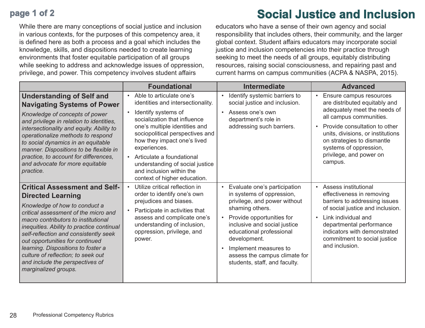## **page 1 of 2**

**Social Justice and Inclusion**

While there are many conceptions of social justice and inclusion in various contexts, for the purposes of this competency area, it is defined here as both a process and a goal which includes the knowledge, skills, and dispositions needed to create learning environments that foster equitable participation of all groups while seeking to address and acknowledge issues of oppression, privilege, and power. This competency involves student affairs

educators who have a sense of their own agency and social responsibility that includes others, their community, and the larger global context. Student affairs educators may incorporate social justice and inclusion competencies into their practice through seeking to meet the needs of all groups, equitably distributing resources, raising social consciousness, and repairing past and current harms on campus communities (ACPA & NASPA, 2015).

|                                                                                                                                                                                                                                                                                                                                                                                                                                                  | <b>Foundational</b>                                                                                                                                                                                                                                                                                                                                                                           | <b>Intermediate</b>                                                                                                                                                                                                                                                                                                                                     | <b>Advanced</b>                                                                                                                                                                                                                                                                         |
|--------------------------------------------------------------------------------------------------------------------------------------------------------------------------------------------------------------------------------------------------------------------------------------------------------------------------------------------------------------------------------------------------------------------------------------------------|-----------------------------------------------------------------------------------------------------------------------------------------------------------------------------------------------------------------------------------------------------------------------------------------------------------------------------------------------------------------------------------------------|---------------------------------------------------------------------------------------------------------------------------------------------------------------------------------------------------------------------------------------------------------------------------------------------------------------------------------------------------------|-----------------------------------------------------------------------------------------------------------------------------------------------------------------------------------------------------------------------------------------------------------------------------------------|
| <b>Understanding of Self and</b><br><b>Navigating Systems of Power</b><br>Knowledge of concepts of power<br>and privilege in relation to identities,<br>intersectionality and equity. Ability to<br>operationalize methods to respond<br>to social dynamics in an equitable<br>manner. Dispositions to be flexible in<br>practice, to account for differences,<br>and advocate for more equitable<br>practice.                                   | Able to articulate one's<br>$\bullet$<br>identities and intersectionality.<br>Identify systems of<br>socialization that influence<br>one's multiple identities and<br>sociopolitical perspectives and<br>how they impact one's lived<br>experiences.<br>Articulate a foundational<br>$\bullet$<br>understanding of social justice<br>and inclusion within the<br>context of higher education. | Identify systemic barriers to<br>$\bullet$<br>social justice and inclusion.<br>Assess one's own<br>$\bullet$<br>department's role in<br>addressing such barriers.                                                                                                                                                                                       | Ensure campus resources<br>are distributed equitably and<br>adequately meet the needs of<br>all campus communities.<br>Provide consultation to other<br>units, divisions, or institutions<br>on strategies to dismantle<br>systems of oppression,<br>privilege, and power on<br>campus. |
| <b>Critical Assessment and Self-</b><br><b>Directed Learning</b><br>Knowledge of how to conduct a<br>critical assessment of the micro and<br>macro contributors to institutional<br>inequities. Ability to practice continual<br>self-reflection and consistently seek<br>out opportunities for continued<br>learning. Dispositions to foster a<br>culture of reflection; to seek out<br>and include the perspectives of<br>marginalized groups. | Utilize critical reflection in<br>order to identify one's own<br>prejudices and biases.<br>Participate in activities that<br>assess and complicate one's<br>understanding of inclusion,<br>oppression, privilege, and<br>power.                                                                                                                                                               | Evaluate one's participation<br>$\bullet$<br>in systems of oppression,<br>privilege, and power without<br>shaming others.<br>Provide opportunities for<br>$\bullet$<br>inclusive and social justice<br>educational professional<br>development.<br>Implement measures to<br>$\bullet$<br>assess the campus climate for<br>students, staff, and faculty. | <b>Assess institutional</b><br>effectiveness in removing<br>barriers to addressing issues<br>of social justice and inclusion.<br>Link individual and<br>$\bullet$<br>departmental performance<br>indicators with demonstrated<br>commitment to social justice<br>and inclusion.         |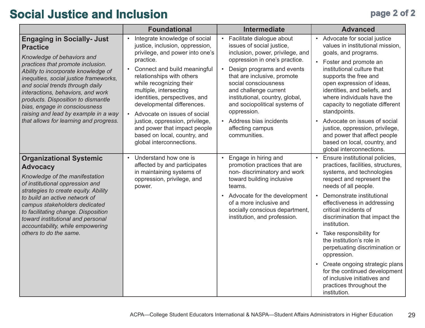## **Social Justice and Inclusion page 2 of 2**

|                                                                                                                                                                                                                                                                                                                                                                                                                                           | <b>Foundational</b>                                                                                                                                                                                                                                                                                                                                                                                                                               | <b>Intermediate</b>                                                                                                                                                                                                                                                                                                                                                                                                               | <b>Advanced</b>                                                                                                                                                                                                                                                                                                                                                                                                              |
|-------------------------------------------------------------------------------------------------------------------------------------------------------------------------------------------------------------------------------------------------------------------------------------------------------------------------------------------------------------------------------------------------------------------------------------------|---------------------------------------------------------------------------------------------------------------------------------------------------------------------------------------------------------------------------------------------------------------------------------------------------------------------------------------------------------------------------------------------------------------------------------------------------|-----------------------------------------------------------------------------------------------------------------------------------------------------------------------------------------------------------------------------------------------------------------------------------------------------------------------------------------------------------------------------------------------------------------------------------|------------------------------------------------------------------------------------------------------------------------------------------------------------------------------------------------------------------------------------------------------------------------------------------------------------------------------------------------------------------------------------------------------------------------------|
| <b>Engaging in Socially- Just</b><br><b>Practice</b><br>Knowledge of behaviors and<br>practices that promote inclusion.<br>Ability to incorporate knowledge of<br>inequities, social justice frameworks,<br>and social trends through daily<br>interactions, behaviors, and work<br>products. Disposition to dismantle<br>bias, engage in consciousness<br>raising and lead by example in a way<br>that allows for learning and progress. | Integrate knowledge of social<br>justice, inclusion, oppression,<br>privilege, and power into one's<br>practice.<br>Connect and build meaningful<br>$\bullet$<br>relationships with others<br>while recognizing their<br>multiple, intersecting<br>identities, perspectives, and<br>developmental differences.<br>Advocate on issues of social<br>justice, oppression, privilege,<br>and power that impact people<br>based on local, country, and | Facilitate dialogue about<br>$\bullet$<br>issues of social justice,<br>inclusion, power, privilege, and<br>oppression in one's practice.<br>Design programs and events<br>$\bullet$<br>that are inclusive, promote<br>social consciousness<br>and challenge current<br>institutional, country, global,<br>and sociopolitical systems of<br>oppression.<br>Address bias incidents<br>$\bullet$<br>affecting campus<br>communities. | • Advocate for social justice<br>values in institutional mission,<br>goals, and programs.<br>• Foster and promote an<br>institutional culture that<br>supports the free and<br>open expression of ideas,<br>identities, and beliefs, and<br>where individuals have the<br>capacity to negotiate different<br>standpoints.<br>Advocate on issues of social<br>justice, oppression, privilege,<br>and power that affect people |
|                                                                                                                                                                                                                                                                                                                                                                                                                                           | global interconnections.                                                                                                                                                                                                                                                                                                                                                                                                                          |                                                                                                                                                                                                                                                                                                                                                                                                                                   | based on local, country, and<br>global interconnections.                                                                                                                                                                                                                                                                                                                                                                     |
| <b>Organizational Systemic</b><br><b>Advocacy</b><br>Knowledge of the manifestation<br>of institutional oppression and<br>strategies to create equity. Ability<br>to build an active network of<br>campus stakeholders dedicated<br>to facilitating change. Disposition<br>toward institutional and personal<br>accountability, while empowering<br>others to do the same.                                                                | Understand how one is<br>affected by and participates<br>in maintaining systems of<br>oppression, privilege, and<br>power.                                                                                                                                                                                                                                                                                                                        | Engage in hiring and<br>promotion practices that are<br>non- discriminatory and work<br>toward building inclusive<br>teams.<br>Advocate for the development<br>$\bullet$<br>of a more inclusive and<br>socially conscious department,<br>institution, and profession.                                                                                                                                                             | Ensure institutional policies,<br>practices, facilities, structures,<br>systems, and technologies<br>respect and represent the<br>needs of all people.<br>Demonstrate institutional<br>effectiveness in addressing<br>critical incidents of<br>discrimination that impact the<br>institution.<br>Take responsibility for<br>the institution's role in<br>perpetuating discrimination or<br>oppression.                       |
|                                                                                                                                                                                                                                                                                                                                                                                                                                           |                                                                                                                                                                                                                                                                                                                                                                                                                                                   |                                                                                                                                                                                                                                                                                                                                                                                                                                   | Create ongoing strategic plans<br>for the continued development<br>of inclusive initiatives and<br>practices throughout the<br>institution.                                                                                                                                                                                                                                                                                  |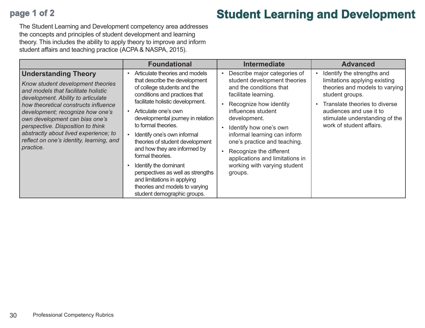## **page 1 of 2**

## **Student Learning and Development**

The Student Learning and Development competency area addresses the concepts and principles of student development and learning theory. This includes the ability to apply theory to improve and inform student affairs and teaching practice (ACPA & NASPA, 2015).

|                                                                                                                                                                                                                                                                                                                                                                                                    | <b>Foundational</b>                                                                                                                                                                                                                                                                                                                                                                                                                                                                                                                         | <b>Intermediate</b>                                                                                                                                                                                                                                                                                                                                                                | <b>Advanced</b>                                                                                                                                                                                                                                         |
|----------------------------------------------------------------------------------------------------------------------------------------------------------------------------------------------------------------------------------------------------------------------------------------------------------------------------------------------------------------------------------------------------|---------------------------------------------------------------------------------------------------------------------------------------------------------------------------------------------------------------------------------------------------------------------------------------------------------------------------------------------------------------------------------------------------------------------------------------------------------------------------------------------------------------------------------------------|------------------------------------------------------------------------------------------------------------------------------------------------------------------------------------------------------------------------------------------------------------------------------------------------------------------------------------------------------------------------------------|---------------------------------------------------------------------------------------------------------------------------------------------------------------------------------------------------------------------------------------------------------|
| <b>Understanding Theory</b><br>Know student development theories<br>and models that facilitate holistic<br>development. Ability to articulate<br>how theoretical constructs influence<br>development; recognize how one's<br>own development can bias one's<br>perspective. Disposition to think<br>abstractly about lived experience; to<br>reflect on one's identity, learning, and<br>practice. | Articulate theories and models<br>that describe the development<br>of college students and the<br>conditions and practices that<br>facilitate holistic development.<br>Articulate one's own<br>developmental journey in relation<br>to formal theories.<br>Identify one's own informal<br>theories of student development<br>and how they are informed by<br>formal theories.<br>Identify the dominant<br>perspectives as well as strengths<br>and limitations in applying<br>theories and models to varying<br>student demographic groups. | Describe major categories of<br>student development theories<br>and the conditions that<br>facilitate learning.<br>Recognize how identity<br>influences student<br>development.<br>Identify how one's own<br>informal learning can inform<br>one's practice and teaching.<br>Recognize the different<br>applications and limitations in<br>working with varying student<br>groups. | Identify the strengths and<br>limitations applying existing<br>theories and models to varying<br>student groups.<br>Translate theories to diverse<br>$\bullet$<br>audiences and use it to<br>stimulate understanding of the<br>work of student affairs. |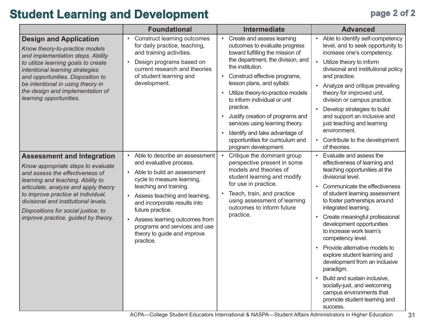## **Student Learning and Development page 2 of 2**

|                                                                                                                                                                          | <b>Foundational</b>                                                                                                                      | <b>Intermediate</b>                                                                                                                                                                                                                                                             | <b>Advanced</b>                                                                                                                                                                                                                                   |
|--------------------------------------------------------------------------------------------------------------------------------------------------------------------------|------------------------------------------------------------------------------------------------------------------------------------------|---------------------------------------------------------------------------------------------------------------------------------------------------------------------------------------------------------------------------------------------------------------------------------|---------------------------------------------------------------------------------------------------------------------------------------------------------------------------------------------------------------------------------------------------|
| <b>Design and Application</b><br>Know theory-to-practice models<br>and implementation steps. Ability<br>to utilize learning goals to create                              | <b>Construct learning outcomes</b><br>$\bullet$<br>for daily practice, teaching,<br>and training activities.<br>Design programs based on | Create and assess learning<br>$\bullet$<br>outcomes to evaluate progress<br>toward fulfilling the mission of<br>the department, the division, and                                                                                                                               | Able to identify self-competency<br>$\bullet$<br>level, and to seek opportunity to<br>increase one's competency.<br>Utilize theory to inform                                                                                                      |
| intentional learning strategies<br>and opportunities. Disposition to<br>be intentional in using theory in<br>the design and implementation of<br>learning opportunities. | current research and theories<br>of student learning and<br>development.                                                                 | the institution.<br>Construct effective programs,<br>$\bullet$<br>lesson plans, and syllabi.<br>Utilize theory-to-practice models<br>$\bullet$<br>to inform individual or unit<br>practice.<br>Justify creation of programs and<br>$\bullet$<br>services using learning theory. | divisional and institutional policy<br>and practice.<br>Analyze and critique prevailing<br>theory for improved unit,<br>division or campus practice.<br>Develop strategies to build<br>and support an inclusive and<br>just teaching and learning |
|                                                                                                                                                                          |                                                                                                                                          | Identify and take advantage of<br>opportunities for curriculum and<br>program development.                                                                                                                                                                                      | environment.<br>Contribute to the development<br>of theories.                                                                                                                                                                                     |
| <b>Assessment and Integration</b><br>Know appropriate steps to evaluate<br>and assess the effectiveness of<br>learning and teaching. Ability to                          | Able to describe an assessment<br>and evaluative process.<br>Able to build an assessment<br>cycle to measure learning,                   | Critique the dominant group<br>perspective present in some<br>models and theories of<br>student learning and modify                                                                                                                                                             | Evaluate and assess the<br>effectiveness of learning and<br>teaching opportunities at the<br>divisional level.                                                                                                                                    |
| articulate, analyze and apply theory<br>to improve practice at individual,<br>divisional and institutional levels.<br>Dispositions for social justice; to                | teaching and training.<br>Assess teaching and learning,<br>$\bullet$<br>and incorporate results into<br>future practice.                 | for use in practice.<br>Teach, train, and practice<br>$\bullet$<br>using assessment of learning<br>outcomes to inform future                                                                                                                                                    | Communicate the effectiveness<br>$\bullet$<br>of student learning assessment<br>to foster partnerships around<br>integrated learning.                                                                                                             |
| improve practice, guided by theory.                                                                                                                                      | Assess learning outcomes from<br>programs and services and use<br>theory to guide and improve<br>practice.                               | practice.                                                                                                                                                                                                                                                                       | Create meaningful professional<br>development opportunities<br>to increase work team's<br>competency level.                                                                                                                                       |
|                                                                                                                                                                          |                                                                                                                                          |                                                                                                                                                                                                                                                                                 | Provide alternative models to<br>explore student learning and<br>development from an inclusive<br>paradigm.                                                                                                                                       |
|                                                                                                                                                                          |                                                                                                                                          |                                                                                                                                                                                                                                                                                 | Build and sustain inclusive,<br>$\bullet$<br>socially-just, and welcoming<br>campus environments that<br>promote student learning and<br>success.                                                                                                 |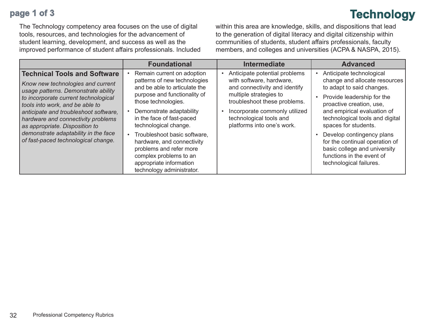### **page 1 of 3**

The Technology competency area focuses on the use of digital tools, resources, and technologies for the advancement of student learning, development, and success as well as the improved performance of student affairs professionals. Included within this area are knowledge, skills, and dispositions that lead to the generation of digital literacy and digital citizenship within communities of students, student affairs professionals, faculty members, and colleges and universities (ACPA & NASPA, 2015).

**Technology**

|                                                                                                                                                                                                                                                                                                                                                                                            | <b>Foundational</b>                                                                                                                                                                                                                                                                                                                                                                                             | <b>Intermediate</b>                                                                                                                                                                                                                            | <b>Advanced</b>                                                                                                                                                                                                                                                                                                                                                                                   |
|--------------------------------------------------------------------------------------------------------------------------------------------------------------------------------------------------------------------------------------------------------------------------------------------------------------------------------------------------------------------------------------------|-----------------------------------------------------------------------------------------------------------------------------------------------------------------------------------------------------------------------------------------------------------------------------------------------------------------------------------------------------------------------------------------------------------------|------------------------------------------------------------------------------------------------------------------------------------------------------------------------------------------------------------------------------------------------|---------------------------------------------------------------------------------------------------------------------------------------------------------------------------------------------------------------------------------------------------------------------------------------------------------------------------------------------------------------------------------------------------|
| <b>Technical Tools and Software</b><br>Know new technologies and current<br>usage patterns. Demonstrate ability<br>to incorporate current technological<br>tools into work, and be able to<br>anticipate and troubleshoot software,<br>hardware and connectivity problems<br>as appropriate. Disposition to<br>demonstrate adaptability in the face<br>of fast-paced technological change. | Remain current on adoption<br>patterns of new technologies<br>and be able to articulate the<br>purpose and functionality of<br>those technologies.<br>Demonstrate adaptability<br>in the face of fast-paced<br>technological change.<br>Troubleshoot basic software,<br>hardware, and connectivity<br>problems and refer more<br>complex problems to an<br>appropriate information<br>technology administrator. | Anticipate potential problems<br>with software, hardware,<br>and connectivity and identify<br>multiple strategies to<br>troubleshoot these problems.<br>Incorporate commonly utilized<br>technological tools and<br>platforms into one's work. | Anticipate technological<br>change and allocate resources<br>to adapt to said changes.<br>Provide leadership for the<br>proactive creation, use,<br>and empirical evaluation of<br>technological tools and digital<br>spaces for students.<br>Develop contingency plans<br>for the continual operation of<br>basic college and university<br>functions in the event of<br>technological failures. |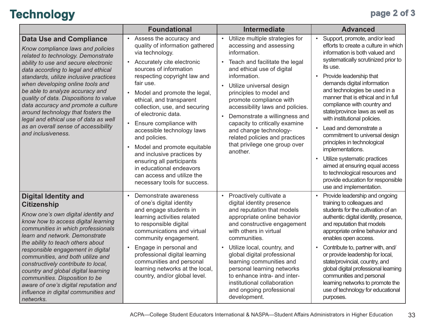## **Technology page 2 of 3**

|                                                                                                                                                                                                                                                                                                                                                                                                                                                                                                                                         | <b>Foundational</b>                                                                                                                                                                                                                                                                                                                                                                                                                                                                                                                                                                                                     | <b>Intermediate</b>                                                                                                                                                                                                                                                                                                                                                                                                                                                                    | <b>Advanced</b>                                                                                                                                                                                                                                                                                                                                                                                                                                                                                                                                                                                                                                                                                                        |
|-----------------------------------------------------------------------------------------------------------------------------------------------------------------------------------------------------------------------------------------------------------------------------------------------------------------------------------------------------------------------------------------------------------------------------------------------------------------------------------------------------------------------------------------|-------------------------------------------------------------------------------------------------------------------------------------------------------------------------------------------------------------------------------------------------------------------------------------------------------------------------------------------------------------------------------------------------------------------------------------------------------------------------------------------------------------------------------------------------------------------------------------------------------------------------|----------------------------------------------------------------------------------------------------------------------------------------------------------------------------------------------------------------------------------------------------------------------------------------------------------------------------------------------------------------------------------------------------------------------------------------------------------------------------------------|------------------------------------------------------------------------------------------------------------------------------------------------------------------------------------------------------------------------------------------------------------------------------------------------------------------------------------------------------------------------------------------------------------------------------------------------------------------------------------------------------------------------------------------------------------------------------------------------------------------------------------------------------------------------------------------------------------------------|
| <b>Data Use and Compliance</b><br>Know compliance laws and policies<br>related to technology. Demonstrate<br>ability to use and secure electronic<br>data according to legal and ethical<br>standards, utilize inclusive practices<br>when developing online tools and<br>be able to analyze accuracy and<br>quality of data. Dispositions to value<br>data accuracy and promote a culture<br>around technology that fosters the<br>legal and ethical use of data as well<br>as an overall sense of accessibility<br>and inclusiveness. | Assess the accuracy and<br>$\bullet$<br>quality of information gathered<br>via technology.<br>Accurately cite electronic<br>$\bullet$<br>sources of information<br>respecting copyright law and<br>fair use.<br>Model and promote the legal,<br>$\bullet$<br>ethical, and transparent<br>collection, use, and securing<br>of electronic data.<br>Ensure compliance with<br>accessible technology laws<br>and policies.<br>Model and promote equitable<br>$\bullet$<br>and inclusive practices by<br>ensuring all participants<br>in educational endeavors<br>can access and utilize the<br>necessary tools for success. | Utilize multiple strategies for<br>$\bullet$<br>accessing and assessing<br>information.<br>Teach and facilitate the legal<br>$\bullet$<br>and ethical use of digital<br>information.<br>Utilize universal design<br>principles to model and<br>promote compliance with<br>accessibility laws and policies.<br>Demonstrate a willingness and<br>capacity to critically examine<br>and change technology-<br>related policies and practices<br>that privilege one group over<br>another. | Support, promote, and/or lead<br>$\bullet$<br>efforts to create a culture in which<br>information is both valued and<br>systematically scrutinized prior to<br>its use.<br>Provide leadership that<br>$\bullet$<br>demands digital information<br>and technologies be used in a<br>manner that is ethical and in full<br>compliance with country and<br>state/province laws as well as<br>with institutional policies.<br>Lead and demonstrate a<br>commitment to universal design<br>principles in technological<br>implementations.<br>Utilize systematic practices<br>$\bullet$<br>aimed at ensuring equal access<br>to technological resources and<br>provide education for responsible<br>use and implementation. |
| <b>Digital Identity and</b><br><b>Citizenship</b><br>Know one's own digital identity and<br>know how to access digital learning<br>communities in which professionals<br>learn and network. Demonstrate<br>the ability to teach others about<br>responsible engagement in digital<br>communities, and both utilize and<br>constructively contribute to local,<br>country and global digital learning<br>communities. Disposition to be<br>aware of one's digital reputation and<br>influence in digital communities and<br>networks.    | Demonstrate awareness<br>$\bullet$<br>of one's digital identity<br>and engage students in<br>learning activities related<br>to responsible digital<br>communications and virtual<br>community engagement.<br>Engage in personal and<br>professional digital learning<br>communities and personal<br>learning networks at the local,<br>country, and/or global level.                                                                                                                                                                                                                                                    | Proactively cultivate a<br>$\bullet$<br>digital identity presence<br>and reputation that models<br>appropriate online behavior<br>and constructive engagement<br>with others in virtual<br>communities.<br>Utilize local, country, and<br>global digital professional<br>learning communities and<br>personal learning networks<br>to enhance intra- and inter-<br>institutional collaboration<br>and ongoing professional<br>development.                                             | Provide leadership and ongoing<br>$\bullet$<br>training to colleagues and<br>students for the cultivation of an<br>authentic digital identity, presence,<br>and reputation that models<br>appropriate online behavior and<br>enables open access.<br>Contribute to, partner with, and/<br>or provide leadership for local,<br>state/provincial, country, and<br>global digital professional learning<br>communities and personal<br>learning networks to promote the<br>use of technology for educational<br>purposes.                                                                                                                                                                                                 |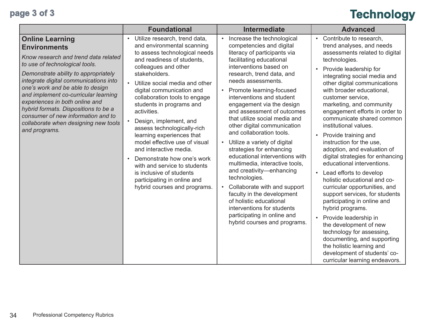# **page 3 of 3 Technology**

|                                                                                                                                                                                                                                                                                                                                                                                                                                                               | <b>Foundational</b>                                                                                                                                                                                                                                                                                                                                                                                                                                                                                                                                                                                                                                                          | <b>Intermediate</b>                                                                                                                                                                                                                                                                                                                                                                                                                                                                                                                                                                                                                                                                                                                                                                                          | <b>Advanced</b>                                                                                                                                                                                                                                                                                                                                                                                                                                                                                                                                                                                                                                                                                                                                                                                                                                                                                                                                                                              |
|---------------------------------------------------------------------------------------------------------------------------------------------------------------------------------------------------------------------------------------------------------------------------------------------------------------------------------------------------------------------------------------------------------------------------------------------------------------|------------------------------------------------------------------------------------------------------------------------------------------------------------------------------------------------------------------------------------------------------------------------------------------------------------------------------------------------------------------------------------------------------------------------------------------------------------------------------------------------------------------------------------------------------------------------------------------------------------------------------------------------------------------------------|--------------------------------------------------------------------------------------------------------------------------------------------------------------------------------------------------------------------------------------------------------------------------------------------------------------------------------------------------------------------------------------------------------------------------------------------------------------------------------------------------------------------------------------------------------------------------------------------------------------------------------------------------------------------------------------------------------------------------------------------------------------------------------------------------------------|----------------------------------------------------------------------------------------------------------------------------------------------------------------------------------------------------------------------------------------------------------------------------------------------------------------------------------------------------------------------------------------------------------------------------------------------------------------------------------------------------------------------------------------------------------------------------------------------------------------------------------------------------------------------------------------------------------------------------------------------------------------------------------------------------------------------------------------------------------------------------------------------------------------------------------------------------------------------------------------------|
| <b>Online Learning</b><br><b>Environments</b><br>Know research and trend data related<br>to use of technological tools.<br>Demonstrate ability to appropriately<br>integrate digital communications into<br>one's work and be able to design<br>and implement co-curricular learning<br>experiences in both online and<br>hybrid formats. Dispositions to be a<br>consumer of new information and to<br>collaborate when designing new tools<br>and programs. | Utilize research, trend data,<br>$\bullet$<br>and environmental scanning<br>to assess technological needs<br>and readiness of students,<br>colleagues and other<br>stakeholders.<br>Utilize social media and other<br>$\bullet$<br>digital communication and<br>collaboration tools to engage<br>students in programs and<br>activities.<br>Design, implement, and<br>$\bullet$<br>assess technologically-rich<br>learning experiences that<br>model effective use of visual<br>and interactive media.<br>Demonstrate how one's work<br>$\bullet$<br>with and service to students<br>is inclusive of students<br>participating in online and<br>hybrid courses and programs. | Increase the technological<br>competencies and digital<br>literacy of participants via<br>facilitating educational<br>interventions based on<br>research, trend data, and<br>needs assessments.<br>Promote learning-focused<br>interventions and student<br>engagement via the design<br>and assessment of outcomes<br>that utilize social media and<br>other digital communication<br>and collaboration tools.<br>Utilize a variety of digital<br>$\bullet$<br>strategies for enhancing<br>educational interventions with<br>multimedia, interactive tools,<br>and creativity-enhancing<br>technologies.<br>Collaborate with and support<br>$\bullet$<br>faculty in the development<br>of holistic educational<br>interventions for students<br>participating in online and<br>hybrid courses and programs. | Contribute to research,<br>$\bullet$<br>trend analyses, and needs<br>assessments related to digital<br>technologies.<br>Provide leadership for<br>$\bullet$<br>integrating social media and<br>other digital communications<br>with broader educational,<br>customer service,<br>marketing, and community<br>engagement efforts in order to<br>communicate shared common<br>institutional values.<br>Provide training and<br>$\bullet$<br>instruction for the use,<br>adoption, and evaluation of<br>digital strategies for enhancing<br>educational interventions.<br>Lead efforts to develop<br>$\bullet$<br>holistic educational and co-<br>curricular opportunities, and<br>support services, for students<br>participating in online and<br>hybrid programs.<br>Provide leadership in<br>$\bullet$<br>the development of new<br>technology for assessing,<br>documenting, and supporting<br>the holistic learning and<br>development of students' co-<br>curricular learning endeavors. |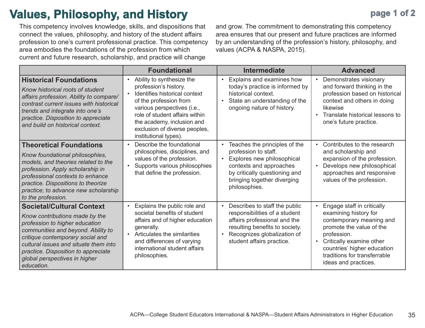## **Values, Philosophy, and History**

This competency involves knowledge, skills, and dispositions that connect the values, philosophy, and history of the student affairs profession to one's current professional practice. This competency area embodies the foundations of the profession from which current and future research, scholarship, and practice will change

and grow. The commitment to demonstrating this competency area ensures that our present and future practices are informed by an understanding of the profession's history, philosophy, and values (ACPA & NASPA, 2015).

|                                                                                                                                                                                                                                                                                                               | <b>Foundational</b>                                                                                                                                                                                                                                                                              | <b>Intermediate</b>                                                                                                                                                                                                       | <b>Advanced</b>                                                                                                                                                                                                                                                         |
|---------------------------------------------------------------------------------------------------------------------------------------------------------------------------------------------------------------------------------------------------------------------------------------------------------------|--------------------------------------------------------------------------------------------------------------------------------------------------------------------------------------------------------------------------------------------------------------------------------------------------|---------------------------------------------------------------------------------------------------------------------------------------------------------------------------------------------------------------------------|-------------------------------------------------------------------------------------------------------------------------------------------------------------------------------------------------------------------------------------------------------------------------|
| <b>Historical Foundations</b><br>Know historical roots of student<br>affairs profession. Ability to compare/<br>contrast current issues with historical<br>trends and integrate into one's<br>practice. Disposition to appreciate<br>and build on historical context.                                         | Ability to synthesize the<br>$\bullet$<br>profession's history.<br>Identifies historical context<br>$\bullet$<br>of the profession from<br>various perspectives (i.e.,<br>role of student affairs within<br>the academy, inclusion and<br>exclusion of diverse peoples,<br>institutional types). | Explains and examines how<br>$\bullet$<br>today's practice is informed by<br>historical context.<br>State an understanding of the<br>$\bullet$<br>ongoing nature of history.                                              | Demonstrates visionary<br>$\bullet$<br>and forward thinking in the<br>profession based on historical<br>context and others in doing<br>likewise<br>Translate historical lessons to<br>one's future practice.                                                            |
| <b>Theoretical Foundations</b><br>Know foundational philosophies,<br>models, and theories related to the<br>profession. Apply scholarship in<br>professional contexts to enhance<br>practice. Dispositions to theorize<br>practice; to advance new scholarship<br>to the profession.                          | Describe the foundational<br>philosophies, disciplines, and<br>values of the profession.<br>Supports various philosophies<br>that define the profession.                                                                                                                                         | Teaches the principles of the<br>$\bullet$<br>profession to staff.<br>Explores new philosophical<br>$\bullet$<br>contexts and approaches<br>by critically questioning and<br>bringing together diverging<br>philosophies. | Contributes to the research<br>$\bullet$<br>and scholarship and<br>expansion of the profession.<br>Develops new philosophical<br>approaches and responsive<br>values of the profession.                                                                                 |
| <b>Societal/Cultural Context</b><br>Know contributions made by the<br>profession to higher education<br>communities and beyond. Ability to<br>critique contemporary social and<br>cultural issues and situate them into<br>practice. Disposition to appreciate<br>global perspectives in higher<br>education. | Explains the public role and<br>$\bullet$<br>societal benefits of student<br>affairs and of higher education<br>generally.<br>• Articulates the similarities<br>and differences of varying<br>international student affairs<br>philosophies.                                                     | Describes to staff the public<br>$\bullet$<br>responsibilities of a student<br>affairs professional and the<br>resulting benefits to society.<br>Recognizes globalization of<br>$\bullet$<br>student affairs practice.    | Engage staff in critically<br>$\bullet$<br>examining history for<br>contemporary meaning and<br>promote the value of the<br>profession.<br>Critically examine other<br>$\bullet$<br>countries' higher education<br>traditions for transferrable<br>ideas and practices. |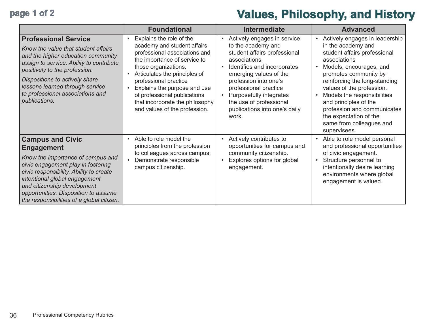## **page 1 of 2 Values, Philosophy, and History**

|                                                                                                                                                                                                                                                                                                                         | <b>Foundational</b>                                                                                                                                                                                                                                                                                                                            | <b>Intermediate</b>                                                                                                                                                                                                                                                                                                                    | <b>Advanced</b>                                                                                                                                                                                                                                                                                                                                                                     |
|-------------------------------------------------------------------------------------------------------------------------------------------------------------------------------------------------------------------------------------------------------------------------------------------------------------------------|------------------------------------------------------------------------------------------------------------------------------------------------------------------------------------------------------------------------------------------------------------------------------------------------------------------------------------------------|----------------------------------------------------------------------------------------------------------------------------------------------------------------------------------------------------------------------------------------------------------------------------------------------------------------------------------------|-------------------------------------------------------------------------------------------------------------------------------------------------------------------------------------------------------------------------------------------------------------------------------------------------------------------------------------------------------------------------------------|
| <b>Professional Service</b><br>Know the value that student affairs<br>and the higher education community<br>assign to service. Ability to contribute<br>positively to the profession.<br>Dispositions to actively share<br>lessons learned through service<br>to professional associations and<br>publications.         | Explains the role of the<br>academy and student affairs<br>professional associations and<br>the importance of service to<br>those organizations.<br>Articulates the principles of<br>professional practice<br>Explains the purpose and use<br>of professional publications<br>that incorporate the philosophy<br>and values of the profession. | Actively engages in service<br>$\bullet$<br>to the academy and<br>student affairs professional<br>associations<br>Identifies and incorporates<br>emerging values of the<br>profession into one's<br>professional practice<br>Purposefully integrates<br>$\bullet$<br>the use of professional<br>publications into one's daily<br>work. | Actively engages in leadership<br>in the academy and<br>student affairs professional<br>associations<br>Models, encourages, and<br>promotes community by<br>reinforcing the long-standing<br>values of the profession.<br>Models the responsibilities<br>and principles of the<br>profession and communicates<br>the expectation of the<br>same from colleagues and<br>supervisees. |
| <b>Campus and Civic</b><br><b>Engagement</b><br>Know the importance of campus and<br>civic engagement play in fostering<br>civic responsibility. Ability to create<br>intentional global engagement<br>and citizenship development<br>opportunities. Disposition to assume<br>the responsibilities of a global citizen. | Able to role model the<br>$\bullet$<br>principles from the profession<br>to colleagues across campus.<br>Demonstrate responsible<br>campus citizenship.                                                                                                                                                                                        | Actively contributes to<br>$\bullet$<br>opportunities for campus and<br>community citizenship.<br>Explores options for global<br>engagement.                                                                                                                                                                                           | Able to role model personal<br>and professional opportunities<br>of civic engagement.<br>Structure personnel to<br>intentionally desire learning<br>environments where global<br>engagement is valued.                                                                                                                                                                              |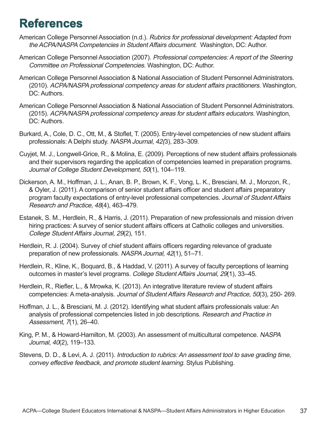## **References**

- American College Personnel Association (n.d.). Rubrics for professional development: Adapted from the ACPA/NASPA Competencies in Student Affairs document. Washington, DC: Author.
- American College Personnel Association (2007). Professional competencies: A report of the Steering Committee on Professional Competencies. Washington, DC: Author.
- American College Personnel Association & National Association of Student Personnel Administrators. (2010). ACPA/NASPA professional competency areas for student affairs practitioners. Washington, DC: Authors.
- American College Personnel Association & National Association of Student Personnel Administrators. (2015). ACPA/NASPA professional competency areas for student affairs educators. Washington, DC: Authors.
- Burkard, A., Cole, D. C., Ott, M., & Stoflet, T. (2005). Entry-level competencies of new student affairs professionals: A Delphi study. NASPA Journal, 42(3), 283–309.
- Cuyjet, M. J., Longwell-Grice, R., & Molina, E. (2009). Perceptions of new student affairs professionals and their supervisors regarding the application of competencies learned in preparation programs. Journal of College Student Development, 50(1), 104–119.
- Dickerson, A. M., Hoffman, J. L., Anan, B. P., Brown, K. F., Vong, L. K., Bresciani, M. J., Monzon, R., & Oyler, J. (2011). A comparison of senior student affairs officer and student affairs preparatory program faculty expectations of entry-level professional competencies. Journal of Student Affairs Research and Practice, 48(4), 463–479.
- Estanek, S. M., Herdlein, R., & Harris, J. (2011). Preparation of new professionals and mission driven hiring practices: A survey of senior student affairs officers at Catholic colleges and universities. College Student Affairs Journal, 29(2), 151.
- Herdlein, R. J. (2004). Survey of chief student affairs officers regarding relevance of graduate preparation of new professionals. NASPA Journal, 42(1), 51–71.
- Herdlein, R., Kline, K., Boquard, B., & Haddad, V. (2011). A survey of faculty perceptions of learning outcomes in master's level programs. College Student Affairs Journal, 29(1), 33–45.
- Herdlein, R., Riefler, L., & Mrowka, K. (2013). An integrative literature review of student affairs competencies: A meta-analysis. Journal of Student Affairs Research and Practice, 50(3), 250- 269.
- Hoffman, J. L., & Bresciani, M. J. (2012). Identifying what student affairs professionals value: An analysis of professional competencies listed in job descriptions. Research and Practice in Assessment, 7(1), 26–40.
- King, P. M., & Howard-Hamilton, M. (2003). An assessment of multicultural competence. NASPA Journal, 40(2), 119–133.
- Stevens, D. D., & Levi, A. J. (2011). Introduction to rubrics: An assessment tool to save grading time, convey effective feedback, and promote student learning. Stylus Publishing.